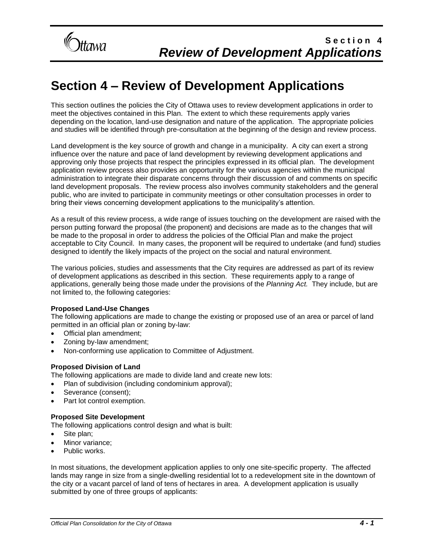

This section outlines the policies the City of Ottawa uses to review development applications in order to meet the objectives contained in this Plan. The extent to which these requirements apply varies depending on the location, land-use designation and nature of the application. The appropriate policies and studies will be identified through pre-consultation at the beginning of the design and review process.

Land development is the key source of growth and change in a municipality. A city can exert a strong influence over the nature and pace of land development by reviewing development applications and approving only those projects that respect the principles expressed in its official plan. The development application review process also provides an opportunity for the various agencies within the municipal administration to integrate their disparate concerns through their discussion of and comments on specific land development proposals. The review process also involves community stakeholders and the general public, who are invited to participate in community meetings or other consultation processes in order to bring their views concerning development applications to the municipality's attention.

As a result of this review process, a wide range of issues touching on the development are raised with the person putting forward the proposal (the proponent) and decisions are made as to the changes that will be made to the proposal in order to address the policies of the Official Plan and make the project acceptable to City Council. In many cases, the proponent will be required to undertake (and fund) studies designed to identify the likely impacts of the project on the social and natural environment.

The various policies, studies and assessments that the City requires are addressed as part of its review of development applications as described in this section. These requirements apply to a range of applications, generally being those made under the provisions of the *Planning Act.* They include, but are not limited to, the following categories:

### **Proposed Land-Use Changes**

The following applications are made to change the existing or proposed use of an area or parcel of land permitted in an official plan or zoning by-law:

- Official plan amendment;
- Zoning by-law amendment;
- Non-conforming use application to Committee of Adjustment.

### **Proposed Division of Land**

The following applications are made to divide land and create new lots:

- Plan of subdivision (including condominium approval);
- Severance (consent);
- Part lot control exemption.

### **Proposed Site Development**

The following applications control design and what is built:

- Site plan;
- Minor variance:
- Public works.

In most situations, the development application applies to only one site-specific property. The affected lands may range in size from a single-dwelling residential lot to a redevelopment site in the downtown of the city or a vacant parcel of land of tens of hectares in area. A development application is usually submitted by one of three groups of applicants: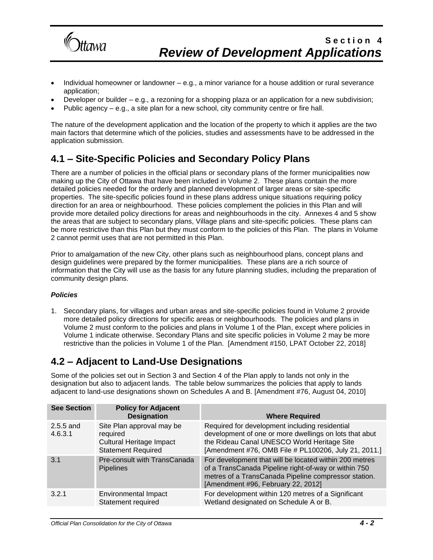

- Individual homeowner or landowner e.g., a minor variance for a house addition or rural severance application;
- Developer or builder e.g., a rezoning for a shopping plaza or an application for a new subdivision;
- Public agency e.g., a site plan for a new school, city community centre or fire hall.

The nature of the development application and the location of the property to which it applies are the two main factors that determine which of the policies, studies and assessments have to be addressed in the application submission.

## **4.1 – Site-Specific Policies and Secondary Policy Plans**

There are a number of policies in the official plans or secondary plans of the former municipalities now making up the City of Ottawa that have been included in Volume 2. These plans contain the more detailed policies needed for the orderly and planned development of larger areas or site-specific properties. The site-specific policies found in these plans address unique situations requiring policy direction for an area or neighbourhood. These policies complement the policies in this Plan and will provide more detailed policy directions for areas and neighbourhoods in the city. Annexes 4 and 5 show the areas that are subject to secondary plans, Village plans and site-specific policies. These plans can be more restrictive than this Plan but they must conform to the policies of this Plan. The plans in Volume 2 cannot permit uses that are not permitted in this Plan.

Prior to amalgamation of the new City, other plans such as neighbourhood plans, concept plans and design guidelines were prepared by the former municipalities. These plans are a rich source of information that the City will use as the basis for any future planning studies, including the preparation of community design plans.

### *Policies*

1. Secondary plans, for villages and urban areas and site-specific policies found in Volume 2 provide more detailed policy directions for specific areas or neighbourhoods. The policies and plans in Volume 2 must conform to the policies and plans in Volume 1 of the Plan, except where policies in Volume 1 indicate otherwise. Secondary Plans and site specific policies in Volume 2 may be more restrictive than the policies in Volume 1 of the Plan. [Amendment #150, LPAT October 22, 2018]

## **4.2 – Adjacent to Land-Use Designations**

Some of the policies set out in Section 3 and Section 4 of the Plan apply to lands not only in the designation but also to adjacent lands. The table below summarizes the policies that apply to lands adjacent to land-use designations shown on Schedules A and B. [Amendment #76, August 04, 2010]

| <b>See Section</b>     | <b>Policy for Adjacent</b><br><b>Designation</b>                                                      | <b>Where Required</b>                                                                                                                                                                                           |
|------------------------|-------------------------------------------------------------------------------------------------------|-----------------------------------------------------------------------------------------------------------------------------------------------------------------------------------------------------------------|
| $2.5.5$ and<br>4.6.3.1 | Site Plan approval may be<br>required<br><b>Cultural Heritage Impact</b><br><b>Statement Required</b> | Required for development including residential<br>development of one or more dwellings on lots that abut<br>the Rideau Canal UNESCO World Heritage Site<br>[Amendment #76, OMB File # PL100206, July 21, 2011.] |
| 3.1                    | Pre-consult with TransCanada<br><b>Pipelines</b>                                                      | For development that will be located within 200 metres<br>of a TransCanada Pipeline right-of-way or within 750<br>metres of a TransCanada Pipeline compressor station.<br>[Amendment #96, February 22, 2012]    |
| 3.2.1                  | <b>Environmental Impact</b><br>Statement required                                                     | For development within 120 metres of a Significant<br>Wetland designated on Schedule A or B.                                                                                                                    |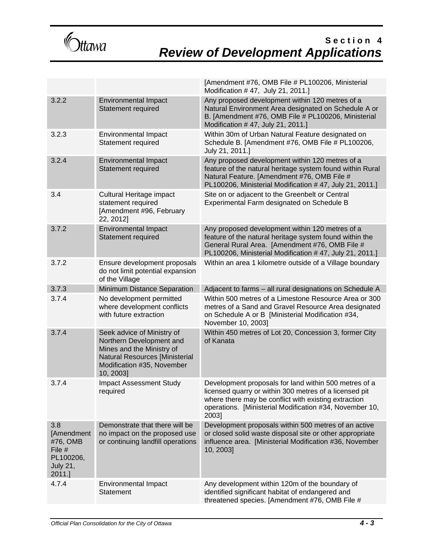

|                                                                                          |                                                                                                                                                                         | [Amendment #76, OMB File # PL100206, Ministerial<br>Modification #47, July 21, 2011.]                                                                                                                                                       |
|------------------------------------------------------------------------------------------|-------------------------------------------------------------------------------------------------------------------------------------------------------------------------|---------------------------------------------------------------------------------------------------------------------------------------------------------------------------------------------------------------------------------------------|
| 3.2.2                                                                                    | <b>Environmental Impact</b><br>Statement required                                                                                                                       | Any proposed development within 120 metres of a<br>Natural Environment Area designated on Schedule A or<br>B. [Amendment #76, OMB File # PL100206, Ministerial<br>Modification #47, July 21, 2011.]                                         |
| 3.2.3                                                                                    | <b>Environmental Impact</b><br>Statement required                                                                                                                       | Within 30m of Urban Natural Feature designated on<br>Schedule B. [Amendment #76, OMB File # PL100206,<br>July 21, 2011.]                                                                                                                    |
| 3.2.4                                                                                    | <b>Environmental Impact</b><br><b>Statement required</b>                                                                                                                | Any proposed development within 120 metres of a<br>feature of the natural heritage system found within Rural<br>Natural Feature. [Amendment #76, OMB File #<br>PL100206, Ministerial Modification #47, July 21, 2011.]                      |
| 3.4                                                                                      | Cultural Heritage impact<br>statement required<br>[Amendment #96, February<br>22, 2012]                                                                                 | Site on or adjacent to the Greenbelt or Central<br>Experimental Farm designated on Schedule B                                                                                                                                               |
| 3.7.2                                                                                    | <b>Environmental Impact</b><br><b>Statement required</b>                                                                                                                | Any proposed development within 120 metres of a<br>feature of the natural heritage system found within the<br>General Rural Area. [Amendment #76, OMB File #<br>PL100206, Ministerial Modification #47, July 21, 2011.]                     |
| 3.7.2                                                                                    | Ensure development proposals<br>do not limit potential expansion<br>of the Village                                                                                      | Within an area 1 kilometre outside of a Village boundary                                                                                                                                                                                    |
| 3.7.3                                                                                    | Minimum Distance Separation                                                                                                                                             | Adjacent to farms - all rural designations on Schedule A                                                                                                                                                                                    |
| 3.7.4                                                                                    | No development permitted<br>where development conflicts<br>with future extraction                                                                                       | Within 500 metres of a Limestone Resource Area or 300<br>metres of a Sand and Gravel Resource Area designated<br>on Schedule A or B [Ministerial Modification #34,<br>November 10, 2003]                                                    |
| 3.7.4                                                                                    | Seek advice of Ministry of<br>Northern Development and<br>Mines and the Ministry of<br><b>Natural Resources [Ministerial</b><br>Modification #35, November<br>10, 2003] | Within 450 metres of Lot 20, Concession 3, former City<br>of Kanata                                                                                                                                                                         |
| 3.7.4                                                                                    | <b>Impact Assessment Study</b><br>required                                                                                                                              | Development proposals for land within 500 metres of a<br>licensed quarry or within 300 metres of a licensed pit<br>where there may be conflict with existing extraction<br>operations. [Ministerial Modification #34, November 10,<br>2003] |
| 3.8<br><b>[Amendment</b><br>#76, OMB<br>File #<br>PL100206,<br><b>July 21,</b><br>2011.] | Demonstrate that there will be<br>no impact on the proposed use<br>or continuing landfill operations                                                                    | Development proposals within 500 metres of an active<br>or closed solid waste disposal site or other appropriate<br>influence area. [Ministerial Modification #36, November<br>10, 2003]                                                    |
| 4.7.4                                                                                    | <b>Environmental Impact</b><br>Statement                                                                                                                                | Any development within 120m of the boundary of<br>identified significant habitat of endangered and<br>threatened species. [Amendment #76, OMB File #                                                                                        |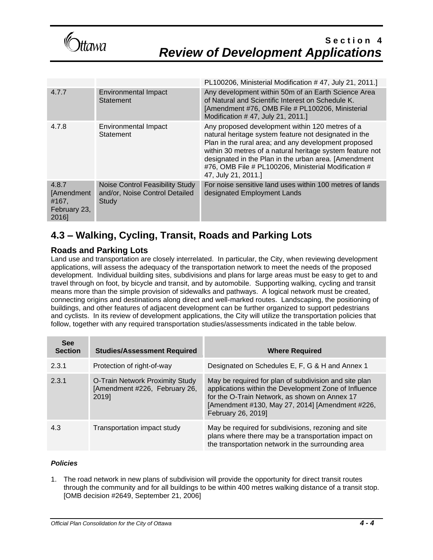

|                                                       |                                                                                   | PL100206, Ministerial Modification #47, July 21, 2011.]                                                                                                                                                                                                                                                                                                              |
|-------------------------------------------------------|-----------------------------------------------------------------------------------|----------------------------------------------------------------------------------------------------------------------------------------------------------------------------------------------------------------------------------------------------------------------------------------------------------------------------------------------------------------------|
| 4.7.7                                                 | Environmental Impact<br><b>Statement</b>                                          | Any development within 50m of an Earth Science Area<br>of Natural and Scientific Interest on Schedule K.<br>[Amendment #76, OMB File # PL100206, Ministerial<br>Modification #47, July 21, 2011.]                                                                                                                                                                    |
| 4.7.8                                                 | Environmental Impact<br>Statement                                                 | Any proposed development within 120 metres of a<br>natural heritage system feature not designated in the<br>Plan in the rural area; and any development proposed<br>within 30 metres of a natural heritage system feature not<br>designated in the Plan in the urban area. [Amendment<br>#76, OMB File # PL100206, Ministerial Modification #<br>47, July 21, 2011.] |
| 4.8.7<br>[Amendment<br>#167,<br>February 23,<br>2016] | <b>Noise Control Feasibility Study</b><br>and/or, Noise Control Detailed<br>Study | For noise sensitive land uses within 100 metres of lands<br>designated Employment Lands                                                                                                                                                                                                                                                                              |

## **4.3 – Walking, Cycling, Transit, Roads and Parking Lots**

### **Roads and Parking Lots**

Land use and transportation are closely interrelated. In particular, the City, when reviewing development applications, will assess the adequacy of the transportation network to meet the needs of the proposed development. Individual building sites, subdivisions and plans for large areas must be easy to get to and travel through on foot, by bicycle and transit, and by automobile. Supporting walking, cycling and transit means more than the simple provision of sidewalks and pathways. A logical network must be created, connecting origins and destinations along direct and well-marked routes. Landscaping, the positioning of buildings, and other features of adjacent development can be further organized to support pedestrians and cyclists. In its review of development applications, the City will utilize the transportation policies that follow, together with any required transportation studies/assessments indicated in the table below.

| <b>See</b><br><b>Section</b> | <b>Studies/Assessment Required</b>                                        | <b>Where Required</b>                                                                                                                                                                                                                    |
|------------------------------|---------------------------------------------------------------------------|------------------------------------------------------------------------------------------------------------------------------------------------------------------------------------------------------------------------------------------|
| 2.3.1                        | Protection of right-of-way                                                | Designated on Schedules E, F, G & H and Annex 1                                                                                                                                                                                          |
| 2.3.1                        | O-Train Network Proximity Study<br>[Amendment #226, February 26,<br>2019] | May be required for plan of subdivision and site plan<br>applications within the Development Zone of Influence<br>for the O-Train Network, as shown on Annex 17<br>[Amendment #130, May 27, 2014] [Amendment #226,<br>February 26, 2019] |
| 4.3                          | Transportation impact study                                               | May be required for subdivisions, rezoning and site<br>plans where there may be a transportation impact on<br>the transportation network in the surrounding area                                                                         |

### *Policies*

1. The road network in new plans of subdivision will provide the opportunity for direct transit routes through the community and for all buildings to be within 400 metres walking distance of a transit stop. [OMB decision #2649, September 21, 2006]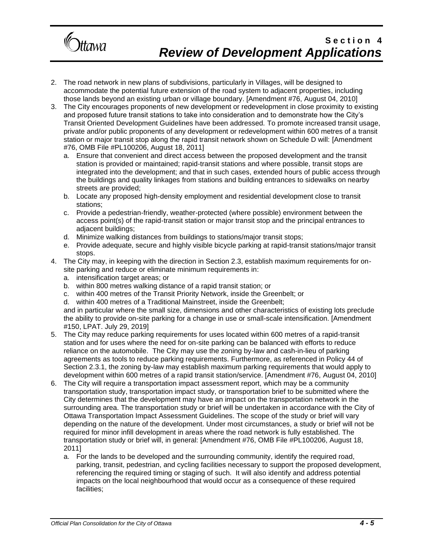

- 2. The road network in new plans of subdivisions, particularly in Villages, will be designed to accommodate the potential future extension of the road system to adjacent properties, including those lands beyond an existing urban or village boundary. [Amendment #76, August 04, 2010]
- 3. The City encourages proponents of new development or redevelopment in close proximity to existing and proposed future transit stations to take into consideration and to demonstrate how the City's Transit Oriented Development Guidelines have been addressed. To promote increased transit usage, private and/or public proponents of any development or redevelopment within 600 metres of a transit station or major transit stop along the rapid transit network shown on Schedule D will: [Amendment #76, OMB File #PL100206, August 18, 2011]
	- a. Ensure that convenient and direct access between the proposed development and the transit station is provided or maintained; rapid-transit stations and where possible, transit stops are integrated into the development; and that in such cases, extended hours of public access through the buildings and quality linkages from stations and building entrances to sidewalks on nearby streets are provided;
	- b. Locate any proposed high-density employment and residential development close to transit stations;
	- c. Provide a pedestrian-friendly, weather-protected (where possible) environment between the access point(s) of the rapid-transit station or major transit stop and the principal entrances to adjacent buildings;
	- d. Minimize walking distances from buildings to stations/major transit stops;
	- e. Provide adequate, secure and highly visible bicycle parking at rapid-transit stations/major transit stops.
- 4. The City may, in keeping with the direction in Section 2.3, establish maximum requirements for onsite parking and reduce or eliminate minimum requirements in:
	- a. intensification target areas; or
	- b. within 800 metres walking distance of a rapid transit station; or
	- c. within 400 metres of the Transit Priority Network, inside the Greenbelt; or
	- d. within 400 metres of a Traditional Mainstreet, inside the Greenbelt;

and in particular where the small size, dimensions and other characteristics of existing lots preclude the ability to provide on-site parking for a change in use or small-scale intensification. [Amendment #150, LPAT. July 29, 2019]

- 5. The City may reduce parking requirements for uses located within 600 metres of a rapid-transit station and for uses where the need for on-site parking can be balanced with efforts to reduce reliance on the automobile. The City may use the zoning by-law and cash-in-lieu of parking agreements as tools to reduce parking requirements. Furthermore, as referenced in Policy 44 of Section 2.3.1, the zoning by-law may establish maximum parking requirements that would apply to development within 600 metres of a rapid transit station/service. [Amendment #76, August 04, 2010]
- 6. The City will require a transportation impact assessment report, which may be a community transportation study, transportation impact study, or transportation brief to be submitted where the City determines that the development may have an impact on the transportation network in the surrounding area. The transportation study or brief will be undertaken in accordance with the City of Ottawa Transportation Impact Assessment Guidelines. The scope of the study or brief will vary depending on the nature of the development. Under most circumstances, a study or brief will not be required for minor infill development in areas where the road network is fully established. The transportation study or brief will, in general: [Amendment #76, OMB File #PL100206, August 18, 2011]
	- a. For the lands to be developed and the surrounding community, identify the required road, parking, transit, pedestrian, and cycling facilities necessary to support the proposed development, referencing the required timing or staging of such. It will also identify and address potential impacts on the local neighbourhood that would occur as a consequence of these required facilities;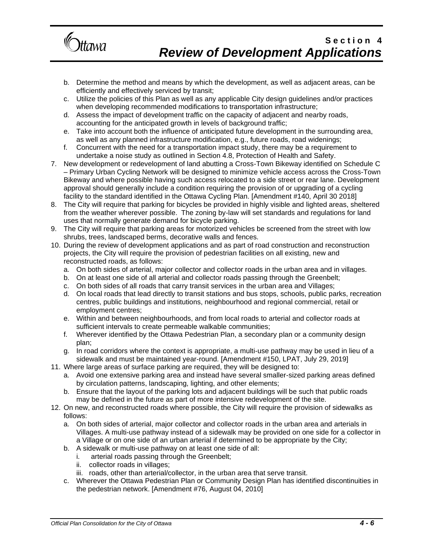

- b. Determine the method and means by which the development, as well as adjacent areas, can be efficiently and effectively serviced by transit;
- c. Utilize the policies of this Plan as well as any applicable City design guidelines and/or practices when developing recommended modifications to transportation infrastructure;
- d. Assess the impact of development traffic on the capacity of adjacent and nearby roads, accounting for the anticipated growth in levels of background traffic;
- e. Take into account both the influence of anticipated future development in the surrounding area, as well as any planned infrastructure modification, e.g., future roads, road widenings;
- f. Concurrent with the need for a transportation impact study, there may be a requirement to undertake a noise study as outlined in Section 4.8, Protection of Health and Safety.
- 7. New development or redevelopment of land abutting a Cross-Town Bikeway identified on Schedule C – Primary Urban Cycling Network will be designed to minimize vehicle access across the Cross-Town Bikeway and where possible having such access relocated to a side street or rear lane. Development approval should generally include a condition requiring the provision of or upgrading of a cycling facility to the standard identified in the Ottawa Cycling Plan. [Amendment #140, April 30 2018]
- 8. The City will require that parking for bicycles be provided in highly visible and lighted areas, sheltered from the weather wherever possible. The zoning by-law will set standards and regulations for land uses that normally generate demand for bicycle parking.
- 9. The City will require that parking areas for motorized vehicles be screened from the street with low shrubs, trees, landscaped berms, decorative walls and fences.
- 10. During the review of development applications and as part of road construction and reconstruction projects, the City will require the provision of pedestrian facilities on all existing, new and reconstructed roads, as follows:
	- a. On both sides of arterial, major collector and collector roads in the urban area and in villages.
	- b. On at least one side of all arterial and collector roads passing through the Greenbelt;
	- c. On both sides of all roads that carry transit services in the urban area and Villages;
	- d. On local roads that lead directly to transit stations and bus stops, schools, public parks, recreation centres, public buildings and institutions, neighbourhood and regional commercial, retail or employment centres;
	- e. Within and between neighbourhoods, and from local roads to arterial and collector roads at sufficient intervals to create permeable walkable communities;
	- f. Wherever identified by the Ottawa Pedestrian Plan, a secondary plan or a community design plan;
	- g. In road corridors where the context is appropriate, a multi-use pathway may be used in lieu of a sidewalk and must be maintained year-round. [Amendment #150, LPAT, July 29, 2019]
- 11. Where large areas of surface parking are required, they will be designed to:
	- a. Avoid one extensive parking area and instead have several smaller-sized parking areas defined by circulation patterns, landscaping, lighting, and other elements;
	- b. Ensure that the layout of the parking lots and adjacent buildings will be such that public roads may be defined in the future as part of more intensive redevelopment of the site.
- 12. On new, and reconstructed roads where possible, the City will require the provision of sidewalks as follows:
	- a. On both sides of arterial, major collector and collector roads in the urban area and arterials in Villages. A multi-use pathway instead of a sidewalk may be provided on one side for a collector in a Village or on one side of an urban arterial if determined to be appropriate by the City;
	- b. A sidewalk or multi-use pathway on at least one side of all:
		- i. arterial roads passing through the Greenbelt;
		- ii. collector roads in villages;
		- iii. roads, other than arterial/collector, in the urban area that serve transit.
	- c. Wherever the Ottawa Pedestrian Plan or Community Design Plan has identified discontinuities in the pedestrian network. [Amendment #76, August 04, 2010]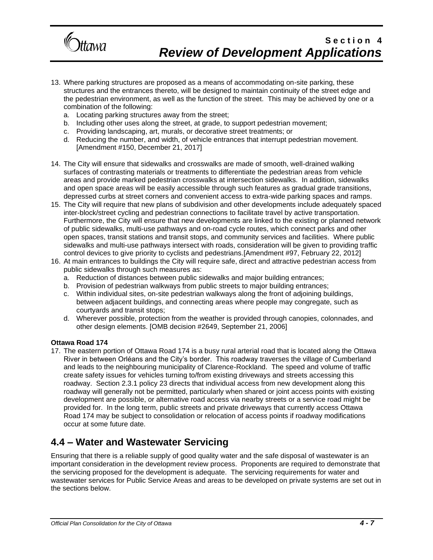

- 13. Where parking structures are proposed as a means of accommodating on-site parking, these structures and the entrances thereto, will be designed to maintain continuity of the street edge and the pedestrian environment, as well as the function of the street. This may be achieved by one or a combination of the following:
	- a. Locating parking structures away from the street;
	- b. Including other uses along the street, at grade, to support pedestrian movement;
	- c. Providing landscaping, art, murals, or decorative street treatments; or
	- d. Reducing the number, and width, of vehicle entrances that interrupt pedestrian movement. [Amendment #150, December 21, 2017]
- 14. The City will ensure that sidewalks and crosswalks are made of smooth, well-drained walking surfaces of contrasting materials or treatments to differentiate the pedestrian areas from vehicle areas and provide marked pedestrian crosswalks at intersection sidewalks. In addition, sidewalks and open space areas will be easily accessible through such features as gradual grade transitions, depressed curbs at street corners and convenient access to extra-wide parking spaces and ramps.
- 15. The City will require that new plans of subdivision and other developments include adequately spaced inter-block/street cycling and pedestrian connections to facilitate travel by active transportation. Furthermore, the City will ensure that new developments are linked to the existing or planned network of public sidewalks, multi-use pathways and on-road cycle routes, which connect parks and other open spaces, transit stations and transit stops, and community services and facilities. Where public sidewalks and multi-use pathways intersect with roads, consideration will be given to providing traffic control devices to give priority to cyclists and pedestrians.[Amendment #97, February 22, 2012]
- 16. At main entrances to buildings the City will require safe, direct and attractive pedestrian access from public sidewalks through such measures as:
	- a. Reduction of distances between public sidewalks and major building entrances;
	- b. Provision of pedestrian walkways from public streets to major building entrances;
	- c. Within individual sites, on-site pedestrian walkways along the front of adjoining buildings, between adjacent buildings, and connecting areas where people may congregate, such as courtyards and transit stops;
	- d. Wherever possible, protection from the weather is provided through canopies, colonnades, and other design elements. [OMB decision #2649, September 21, 2006]

#### **Ottawa Road 174**

17. The eastern portion of Ottawa Road 174 is a busy rural arterial road that is located along the Ottawa River in between Orléans and the City's border. This roadway traverses the village of Cumberland and leads to the neighbouring municipality of Clarence-Rockland. The speed and volume of traffic create safety issues for vehicles turning to/from existing driveways and streets accessing this roadway. Section 2.3.1 policy 23 directs that individual access from new development along this roadway will generally not be permitted, particularly when shared or joint access points with existing development are possible, or alternative road access via nearby streets or a service road might be provided for. In the long term, public streets and private driveways that currently access Ottawa Road 174 may be subject to consolidation or relocation of access points if roadway modifications occur at some future date.

## **4.4 – Water and Wastewater Servicing**

Ensuring that there is a reliable supply of good quality water and the safe disposal of wastewater is an important consideration in the development review process. Proponents are required to demonstrate that the servicing proposed for the development is adequate. The servicing requirements for water and wastewater services for Public Service Areas and areas to be developed on private systems are set out in the sections below.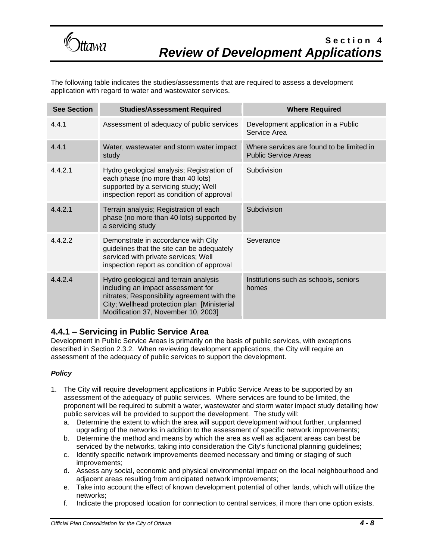

The following table indicates the studies/assessments that are required to assess a development application with regard to water and wastewater services.

| <b>See Section</b> | <b>Studies/Assessment Required</b>                                                                                                                                                                               | <b>Where Required</b>                                                    |
|--------------------|------------------------------------------------------------------------------------------------------------------------------------------------------------------------------------------------------------------|--------------------------------------------------------------------------|
| 4.4.1              | Assessment of adequacy of public services                                                                                                                                                                        | Development application in a Public<br>Service Area                      |
| 4.4.1              | Water, wastewater and storm water impact<br>study                                                                                                                                                                | Where services are found to be limited in<br><b>Public Service Areas</b> |
| 4.4.2.1            | Hydro geological analysis; Registration of<br>each phase (no more than 40 lots)<br>supported by a servicing study; Well<br>inspection report as condition of approval                                            | Subdivision                                                              |
| 4.4.2.1            | Terrain analysis; Registration of each<br>phase (no more than 40 lots) supported by<br>a servicing study                                                                                                         | Subdivision                                                              |
| 4.4.2.2            | Demonstrate in accordance with City<br>guidelines that the site can be adequately<br>serviced with private services; Well<br>inspection report as condition of approval                                          | Severance                                                                |
| 4.4.2.4            | Hydro geological and terrain analysis<br>including an impact assessment for<br>nitrates; Responsibility agreement with the<br>City; Wellhead protection plan [Ministerial<br>Modification 37, November 10, 2003] | Institutions such as schools, seniors<br>homes                           |

### **4.4.1 – Servicing in Public Service Area**

Development in Public Service Areas is primarily on the basis of public services, with exceptions described in Section 2.3.2. When reviewing development applications, the City will require an assessment of the adequacy of public services to support the development.

### *Policy*

- 1. The City will require development applications in Public Service Areas to be supported by an assessment of the adequacy of public services. Where services are found to be limited, the proponent will be required to submit a water, wastewater and storm water impact study detailing how public services will be provided to support the development. The study will:
	- a. Determine the extent to which the area will support development without further, unplanned upgrading of the networks in addition to the assessment of specific network improvements;
	- b. Determine the method and means by which the area as well as adjacent areas can best be serviced by the networks, taking into consideration the City's functional planning guidelines;
	- c. Identify specific network improvements deemed necessary and timing or staging of such improvements;
	- d. Assess any social, economic and physical environmental impact on the local neighbourhood and adjacent areas resulting from anticipated network improvements;
	- e. Take into account the effect of known development potential of other lands, which will utilize the networks;
	- f. Indicate the proposed location for connection to central services, if more than one option exists.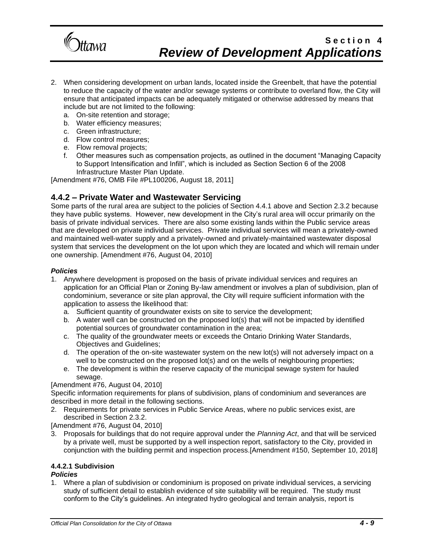

- 2. When considering development on urban lands, located inside the Greenbelt, that have the potential to reduce the capacity of the water and/or sewage systems or contribute to overland flow, the City will ensure that anticipated impacts can be adequately mitigated or otherwise addressed by means that include but are not limited to the following:
	- a. On-site retention and storage;
	- b. Water efficiency measures;
	- c. Green infrastructure;
	- d. Flow control measures;
	- e. Flow removal projects;
	- f. Other measures such as compensation projects, as outlined in the document "Managing Capacity to Support Intensification and Infill", which is included as Section Section 6 of the 2008 Infrastructure Master Plan Update.

[Amendment #76, OMB File #PL100206, August 18, 2011]

### **4.4.2 – Private Water and Wastewater Servicing**

Some parts of the rural area are subject to the policies of Section 4.4.1 above and Section 2.3.2 because they have public systems. However, new development in the City's rural area will occur primarily on the basis of private individual services. There are also some existing lands within the Public service areas that are developed on private individual services. Private individual services will mean a privately-owned and maintained well-water supply and a privately-owned and privately-maintained wastewater disposal system that services the development on the lot upon which they are located and which will remain under one ownership. [Amendment #76, August 04, 2010]

#### *Policies*

- 1. Anywhere development is proposed on the basis of private individual services and requires an application for an Official Plan or Zoning By-law amendment or involves a plan of subdivision, plan of condominium, severance or site plan approval, the City will require sufficient information with the application to assess the likelihood that:
	- a. Sufficient quantity of groundwater exists on site to service the development;
	- b. A water well can be constructed on the proposed lot(s) that will not be impacted by identified potential sources of groundwater contamination in the area;
	- c. The quality of the groundwater meets or exceeds the Ontario Drinking Water Standards, Objectives and Guidelines;
	- d. The operation of the on-site wastewater system on the new lot(s) will not adversely impact on a well to be constructed on the proposed lot(s) and on the wells of neighbouring properties;
	- e. The development is within the reserve capacity of the municipal sewage system for hauled sewage.

### [Amendment #76, August 04, 2010]

Specific information requirements for plans of subdivision, plans of condominium and severances are described in more detail in the following sections.

2. Requirements for private services in Public Service Areas, where no public services exist, are described in Section 2.3.2.

[Amendment #76, August 04, 2010]

3. Proposals for buildings that do not require approval under the *Planning Act*, and that will be serviced by a private well, must be supported by a well inspection report, satisfactory to the City, provided in conjunction with the building permit and inspection process.[Amendment #150, September 10, 2018]

## **4.4.2.1 Subdivision**

### *Policies*

1. Where a plan of subdivision or condominium is proposed on private individual services, a servicing study of sufficient detail to establish evidence of site suitability will be required. The study must conform to the City's guidelines. An integrated hydro geological and terrain analysis, report is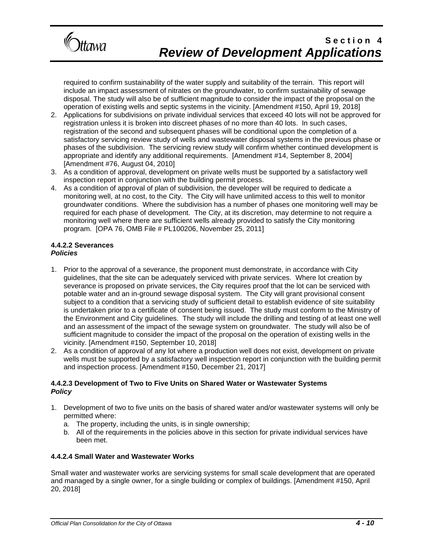

required to confirm sustainability of the water supply and suitability of the terrain. This report will include an impact assessment of nitrates on the groundwater, to confirm sustainability of sewage disposal. The study will also be of sufficient magnitude to consider the impact of the proposal on the operation of existing wells and septic systems in the vicinity. [Amendment #150, April 19, 2018]

- 2. Applications for subdivisions on private individual services that exceed 40 lots will not be approved for registration unless it is broken into discreet phases of no more than 40 lots. In such cases, registration of the second and subsequent phases will be conditional upon the completion of a satisfactory servicing review study of wells and wastewater disposal systems in the previous phase or phases of the subdivision. The servicing review study will confirm whether continued development is appropriate and identify any additional requirements. [Amendment #14, September 8, 2004] [Amendment #76, August 04, 2010]
- 3. As a condition of approval, development on private wells must be supported by a satisfactory well inspection report in conjunction with the building permit process.
- 4. As a condition of approval of plan of subdivision, the developer will be required to dedicate a monitoring well, at no cost, to the City. The City will have unlimited access to this well to monitor groundwater conditions. Where the subdivision has a number of phases one monitoring well may be required for each phase of development. The City, at its discretion, may determine to not require a monitoring well where there are sufficient wells already provided to satisfy the City monitoring program. [OPA 76, OMB File # PL100206, November 25, 2011]

#### **4.4.2.2 Severances** *Policies*

- 1. Prior to the approval of a severance, the proponent must demonstrate, in accordance with City guidelines, that the site can be adequately serviced with private services. Where lot creation by severance is proposed on private services, the City requires proof that the lot can be serviced with potable water and an in-ground sewage disposal system. The City will grant provisional consent subject to a condition that a servicing study of sufficient detail to establish evidence of site suitability is undertaken prior to a certificate of consent being issued. The study must conform to the Ministry of the Environment and City guidelines. The study will include the drilling and testing of at least one well and an assessment of the impact of the sewage system on groundwater. The study will also be of sufficient magnitude to consider the impact of the proposal on the operation of existing wells in the vicinity. [Amendment #150, September 10, 2018]
- 2. As a condition of approval of any lot where a production well does not exist, development on private wells must be supported by a satisfactory well inspection report in conjunction with the building permit and inspection process. [Amendment #150, December 21, 2017]

### **4.4.2.3 Development of Two to Five Units on Shared Water or Wastewater Systems** *Policy*

- 1. Development of two to five units on the basis of shared water and/or wastewater systems will only be permitted where:
	- a. The property, including the units, is in single ownership;
	- b. All of the requirements in the policies above in this section for private individual services have been met.

### **4.4.2.4 Small Water and Wastewater Works**

Small water and wastewater works are servicing systems for small scale development that are operated and managed by a single owner, for a single building or complex of buildings. [Amendment #150, April 20, 2018]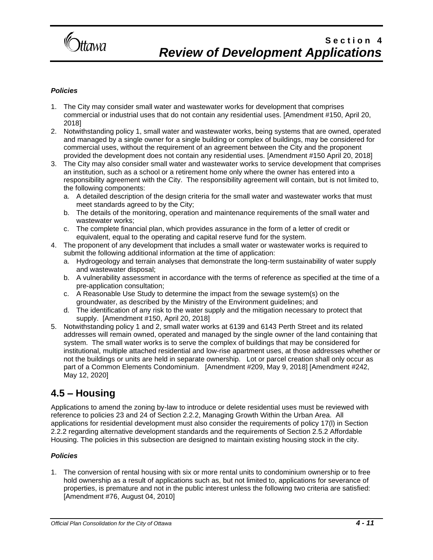

### *Policies*

- 1. The City may consider small water and wastewater works for development that comprises commercial or industrial uses that do not contain any residential uses. [Amendment #150, April 20, 2018]
- 2. Notwithstanding policy 1, small water and wastewater works, being systems that are owned, operated and managed by a single owner for a single building or complex of buildings, may be considered for commercial uses, without the requirement of an agreement between the City and the proponent provided the development does not contain any residential uses. [Amendment #150 April 20, 2018]
- 3. The City may also consider small water and wastewater works to service development that comprises an institution, such as a school or a retirement home only where the owner has entered into a responsibility agreement with the City. The responsibility agreement will contain, but is not limited to, the following components:
	- a. A detailed description of the design criteria for the small water and wastewater works that must meet standards agreed to by the City;
	- b. The details of the monitoring, operation and maintenance requirements of the small water and wastewater works;
	- c. The complete financial plan, which provides assurance in the form of a letter of credit or equivalent, equal to the operating and capital reserve fund for the system.
- 4. The proponent of any development that includes a small water or wastewater works is required to submit the following additional information at the time of application:
	- a. Hydrogeology and terrain analyses that demonstrate the long-term sustainability of water supply and wastewater disposal;
	- b. A vulnerability assessment in accordance with the terms of reference as specified at the time of a pre-application consultation;
	- c. A Reasonable Use Study to determine the impact from the sewage system(s) on the groundwater, as described by the Ministry of the Environment guidelines; and
	- d. The identification of any risk to the water supply and the mitigation necessary to protect that supply. [Amendment #150, April 20, 2018]
- 5. Notwithstanding policy 1 and 2, small water works at 6139 and 6143 Perth Street and its related addresses will remain owned, operated and managed by the single owner of the land containing that system. The small water works is to serve the complex of buildings that may be considered for institutional, multiple attached residential and low-rise apartment uses, at those addresses whether or not the buildings or units are held in separate ownership. Lot or parcel creation shall only occur as part of a Common Elements Condominium. [Amendment #209, May 9, 2018] [Amendment #242, May 12, 2020]

## **4.5 – Housing**

Applications to amend the zoning by-law to introduce or delete residential uses must be reviewed with reference to policies 23 and 24 of Section 2.2.2, Managing Growth Within the Urban Area. All applications for residential development must also consider the requirements of policy 17(l) in Section 2.2.2 regarding alternative development standards and the requirements of Section 2.5.2 Affordable Housing. The policies in this subsection are designed to maintain existing housing stock in the city.

### *Policies*

1. The conversion of rental housing with six or more rental units to condominium ownership or to free hold ownership as a result of applications such as, but not limited to, applications for severance of properties, is premature and not in the public interest unless the following two criteria are satisfied: [Amendment #76, August 04, 2010]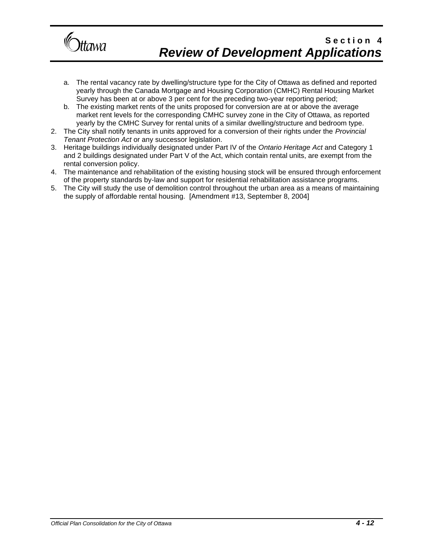

- a. The rental vacancy rate by dwelling/structure type for the City of Ottawa as defined and reported yearly through the Canada Mortgage and Housing Corporation (CMHC) Rental Housing Market Survey has been at or above 3 per cent for the preceding two-year reporting period;
- b. The existing market rents of the units proposed for conversion are at or above the average market rent levels for the corresponding CMHC survey zone in the City of Ottawa, as reported yearly by the CMHC Survey for rental units of a similar dwelling/structure and bedroom type.
- 2. The City shall notify tenants in units approved for a conversion of their rights under the *Provincial Tenant Protection Act* or any successor legislation.
- 3. Heritage buildings individually designated under Part IV of the *Ontario Heritage Act* and Category 1 and 2 buildings designated under Part V of the Act, which contain rental units, are exempt from the rental conversion policy.
- 4. The maintenance and rehabilitation of the existing housing stock will be ensured through enforcement of the property standards by-law and support for residential rehabilitation assistance programs.
- 5. The City will study the use of demolition control throughout the urban area as a means of maintaining the supply of affordable rental housing. [Amendment #13, September 8, 2004]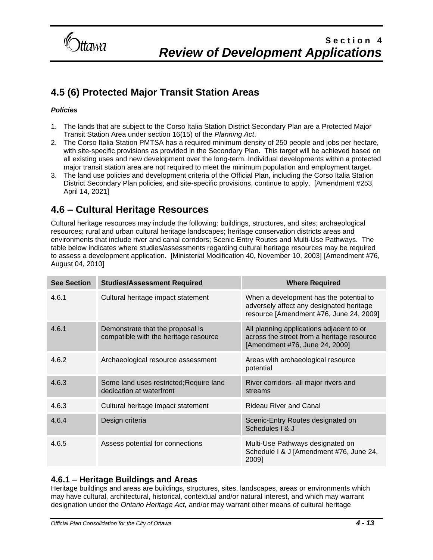

# **4.5 (6) Protected Major Transit Station Areas**

### *Policies*

- 1. The lands that are subject to the Corso Italia Station District Secondary Plan are a Protected Major Transit Station Area under section 16(15) of the *Planning Act*.
- 2. The Corso Italia Station PMTSA has a required minimum density of 250 people and jobs per hectare, with site-specific provisions as provided in the Secondary Plan. This target will be achieved based on all existing uses and new development over the long-term. Individual developments within a protected major transit station area are not required to meet the minimum population and employment target.
- 3. The land use policies and development criteria of the Official Plan, including the Corso Italia Station District Secondary Plan policies, and site-specific provisions, continue to apply. [Amendment #253, April 14, 2021]

## **4.6 – Cultural Heritage Resources**

Cultural heritage resources may include the following: buildings, structures, and sites; archaeological resources; rural and urban cultural heritage landscapes; heritage conservation districts areas and environments that include river and canal corridors; Scenic-Entry Routes and Multi-Use Pathways. The table below indicates where studies/assessments regarding cultural heritage resources may be required to assess a development application. [Ministerial Modification 40, November 10, 2003] [Amendment #76, August 04, 2010]

| <b>See Section</b> | <b>Studies/Assessment Required</b>                                        | <b>Where Required</b>                                                                                                          |
|--------------------|---------------------------------------------------------------------------|--------------------------------------------------------------------------------------------------------------------------------|
| 4.6.1              | Cultural heritage impact statement                                        | When a development has the potential to<br>adversely affect any designated heritage<br>resource [Amendment #76, June 24, 2009] |
| 4.6.1              | Demonstrate that the proposal is<br>compatible with the heritage resource | All planning applications adjacent to or<br>across the street from a heritage resource<br>[Amendment #76, June 24, 2009]       |
| 4.6.2              | Archaeological resource assessment                                        | Areas with archaeological resource<br>potential                                                                                |
| 4.6.3              | Some land uses restricted; Require land<br>dedication at waterfront       | River corridors- all major rivers and<br>streams                                                                               |
| 4.6.3              | Cultural heritage impact statement                                        | <b>Rideau River and Canal</b>                                                                                                  |
| 4.6.4              | Design criteria                                                           | Scenic-Entry Routes designated on<br>Schedules   & J                                                                           |
| 4.6.5              | Assess potential for connections                                          | Multi-Use Pathways designated on<br>Schedule I & J [Amendment #76, June 24,<br>2009]                                           |

### **4.6.1 – Heritage Buildings and Areas**

Heritage buildings and areas are buildings, structures, sites, landscapes, areas or environments which may have cultural, architectural, historical, contextual and/or natural interest, and which may warrant designation under the *Ontario Heritage Act,* and/or may warrant other means of cultural heritage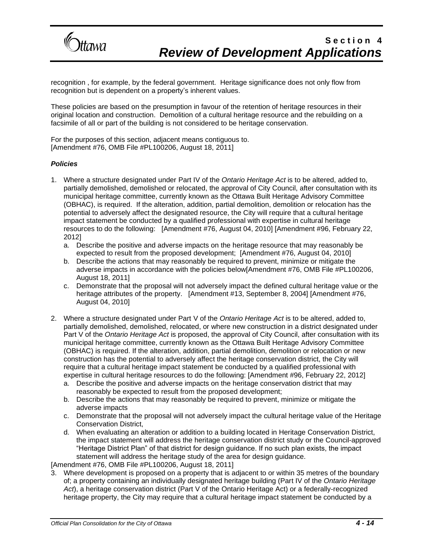

recognition , for example, by the federal government. Heritage significance does not only flow from recognition but is dependent on a property's inherent values.

These policies are based on the presumption in favour of the retention of heritage resources in their original location and construction. Demolition of a cultural heritage resource and the rebuilding on a facsimile of all or part of the building is not considered to be heritage conservation.

For the purposes of this section, adjacent means contiguous to. [Amendment #76, OMB File #PL100206, August 18, 2011]

### *Policies*

- 1. Where a structure designated under Part IV of the *Ontario Heritage Act* is to be altered, added to, partially demolished, demolished or relocated, the approval of City Council, after consultation with its municipal heritage committee, currently known as the Ottawa Built Heritage Advisory Committee (OBHAC), is required. If the alteration, addition, partial demolition, demolition or relocation has the potential to adversely affect the designated resource, the City will require that a cultural heritage impact statement be conducted by a qualified professional with expertise in cultural heritage resources to do the following: [Amendment #76, August 04, 2010] [Amendment #96, February 22, 2012]
	- a. Describe the positive and adverse impacts on the heritage resource that may reasonably be expected to result from the proposed development; [Amendment #76, August 04, 2010]
	- b. Describe the actions that may reasonably be required to prevent, minimize or mitigate the adverse impacts in accordance with the policies below[Amendment #76, OMB File #PL100206, August 18, 2011]
	- c. Demonstrate that the proposal will not adversely impact the defined cultural heritage value or the heritage attributes of the property. [Amendment #13, September 8, 2004] [Amendment #76, August 04, 2010]
- 2. Where a structure designated under Part V of the *Ontario Heritage Act* is to be altered, added to, partially demolished, demolished, relocated, or where new construction in a district designated under Part V of the *Ontario Heritage Act* is proposed, the approval of City Council, after consultation with its municipal heritage committee, currently known as the Ottawa Built Heritage Advisory Committee (OBHAC) is required. If the alteration, addition, partial demolition, demolition or relocation or new construction has the potential to adversely affect the heritage conservation district, the City will require that a cultural heritage impact statement be conducted by a qualified professional with expertise in cultural heritage resources to do the following: [Amendment #96, February 22, 2012]
	- a. Describe the positive and adverse impacts on the heritage conservation district that may reasonably be expected to result from the proposed development;
	- b. Describe the actions that may reasonably be required to prevent, minimize or mitigate the adverse impacts
	- c. Demonstrate that the proposal will not adversely impact the cultural heritage value of the Heritage Conservation District,
	- d. When evaluating an alteration or addition to a building located in Heritage Conservation District, the impact statement will address the heritage conservation district study or the Council-approved "Heritage District Plan" of that district for design guidance. If no such plan exists, the impact statement will address the heritage study of the area for design guidance.

[Amendment #76, OMB File #PL100206, August 18, 2011]

3. Where development is proposed on a property that is adjacent to or within 35 metres of the boundary of; a property containing an individually designated heritage building (Part IV of the *Ontario Heritage Act*), a heritage conservation district (Part V of the Ontario Heritage Act) or a federally-recognized heritage property, the City may require that a cultural heritage impact statement be conducted by a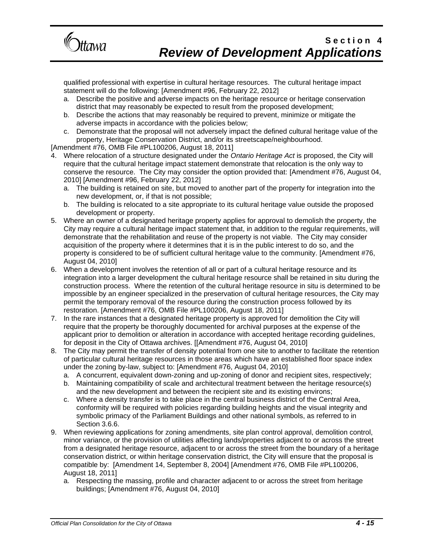

qualified professional with expertise in cultural heritage resources. The cultural heritage impact statement will do the following: [Amendment #96, February 22, 2012]

- a. Describe the positive and adverse impacts on the heritage resource or heritage conservation district that may reasonably be expected to result from the proposed development;
- b. Describe the actions that may reasonably be required to prevent, minimize or mitigate the adverse impacts in accordance with the policies below;
- c. Demonstrate that the proposal will not adversely impact the defined cultural heritage value of the property, Heritage Conservation District, and/or its streetscape/neighbourhood.

[Amendment #76, OMB File #PL100206, August 18, 2011]

- 4. Where relocation of a structure designated under the *Ontario Heritage Act* is proposed, the City will require that the cultural heritage impact statement demonstrate that relocation is the only way to conserve the resource. The City may consider the option provided that: [Amendment #76, August 04, 2010] [Amendment #96, February 22, 2012]
	- a. The building is retained on site, but moved to another part of the property for integration into the new development, or, if that is not possible;
	- b. The building is relocated to a site appropriate to its cultural heritage value outside the proposed development or property.
- 5. Where an owner of a designated heritage property applies for approval to demolish the property, the City may require a cultural heritage impact statement that, in addition to the regular requirements, will demonstrate that the rehabilitation and reuse of the property is not viable. The City may consider acquisition of the property where it determines that it is in the public interest to do so, and the property is considered to be of sufficient cultural heritage value to the community. [Amendment #76, August 04, 2010]
- 6. When a development involves the retention of all or part of a cultural heritage resource and its integration into a larger development the cultural heritage resource shall be retained in situ during the construction process. Where the retention of the cultural heritage resource in situ is determined to be impossible by an engineer specialized in the preservation of cultural heritage resources, the City may permit the temporary removal of the resource during the construction process followed by its restoration. [Amendment #76, OMB File #PL100206, August 18, 2011]
- 7. In the rare instances that a designated heritage property is approved for demolition the City will require that the property be thoroughly documented for archival purposes at the expense of the applicant prior to demolition or alteration in accordance with accepted heritage recording guidelines, for deposit in the City of Ottawa archives. [[Amendment #76, August 04, 2010]
- 8. The City may permit the transfer of density potential from one site to another to facilitate the retention of particular cultural heritage resources in those areas which have an established floor space index under the zoning by-law, subject to: [Amendment #76, August 04, 2010]
	- a. A concurrent, equivalent down-zoning and up-zoning of donor and recipient sites, respectively;
	- b. Maintaining compatibility of scale and architectural treatment between the heritage resource(s) and the new development and between the recipient site and its existing environs;
	- c. Where a density transfer is to take place in the central business district of the Central Area, conformity will be required with policies regarding building heights and the visual integrity and symbolic primacy of the Parliament Buildings and other national symbols, as referred to in Section 3.6.6.
- 9. When reviewing applications for zoning amendments, site plan control approval, demolition control, minor variance, or the provision of utilities affecting lands/properties adjacent to or across the street from a designated heritage resource, adjacent to or across the street from the boundary of a heritage conservation district, or within heritage conservation district, the City will ensure that the proposal is compatible by: [Amendment 14, September 8, 2004] [Amendment #76, OMB File #PL100206, August 18, 2011]
	- a. Respecting the massing, profile and character adjacent to or across the street from heritage buildings; [Amendment #76, August 04, 2010]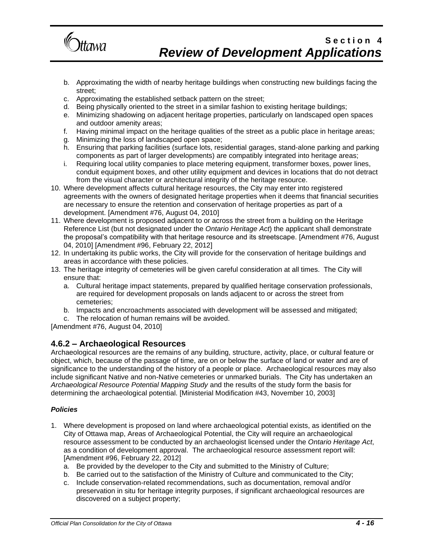

- b. Approximating the width of nearby heritage buildings when constructing new buildings facing the street;
- c. Approximating the established setback pattern on the street;
- d. Being physically oriented to the street in a similar fashion to existing heritage buildings;
- e. Minimizing shadowing on adjacent heritage properties, particularly on landscaped open spaces and outdoor amenity areas;
- f. Having minimal impact on the heritage qualities of the street as a public place in heritage areas;
- g. Minimizing the loss of landscaped open space;
- h. Ensuring that parking facilities (surface lots, residential garages, stand-alone parking and parking components as part of larger developments) are compatibly integrated into heritage areas;
- i. Requiring local utility companies to place metering equipment, transformer boxes, power lines, conduit equipment boxes, and other utility equipment and devices in locations that do not detract from the visual character or architectural integrity of the heritage resource.
- 10. Where development affects cultural heritage resources, the City may enter into registered agreements with the owners of designated heritage properties when it deems that financial securities are necessary to ensure the retention and conservation of heritage properties as part of a development. [Amendment #76, August 04, 2010]
- 11. Where development is proposed adjacent to or across the street from a building on the Heritage Reference List (but not designated under the *Ontario Heritage Act*) the applicant shall demonstrate the proposal's compatibility with that heritage resource and its streetscape. [Amendment #76, August 04, 2010] [Amendment #96, February 22, 2012]
- 12. In undertaking its public works, the City will provide for the conservation of heritage buildings and areas in accordance with these policies.
- 13. The heritage integrity of cemeteries will be given careful consideration at all times. The City will ensure that:
	- a. Cultural heritage impact statements, prepared by qualified heritage conservation professionals, are required for development proposals on lands adjacent to or across the street from cemeteries;
	- b. Impacts and encroachments associated with development will be assessed and mitigated;
	- c. The relocation of human remains will be avoided.

[Amendment #76, August 04, 2010]

### **4.6.2 – Archaeological Resources**

Archaeological resources are the remains of any building, structure, activity, place, or cultural feature or object, which, because of the passage of time, are on or below the surface of land or water and are of significance to the understanding of the history of a people or place. Archaeological resources may also include significant Native and non-Native cemeteries or unmarked burials. The City has undertaken an *Archaeological Resource Potential Mapping Study* and the results of the study form the basis for determining the archaeological potential. [Ministerial Modification #43, November 10, 2003]

- 1. Where development is proposed on land where archaeological potential exists, as identified on the City of Ottawa map, Areas of Archaeological Potential, the City will require an archaeological resource assessment to be conducted by an archaeologist licensed under the *Ontario Heritage Act*, as a condition of development approval. The archaeological resource assessment report will: [Amendment #96, February 22, 2012]
	- a. Be provided by the developer to the City and submitted to the Ministry of Culture;
	- b. Be carried out to the satisfaction of the Ministry of Culture and communicated to the City;
	- c. Include conservation-related recommendations, such as documentation, removal and/or preservation in situ for heritage integrity purposes, if significant archaeological resources are discovered on a subject property;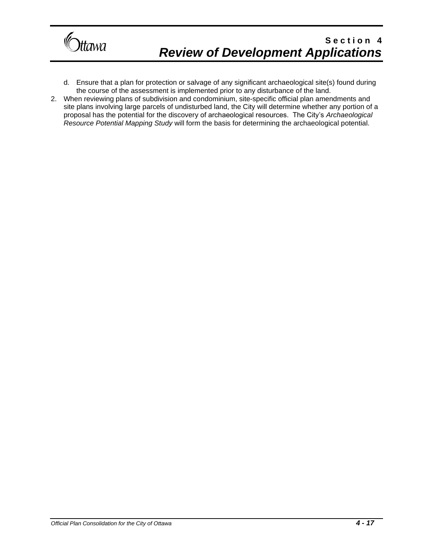

- d. Ensure that a plan for protection or salvage of any significant archaeological site(s) found during the course of the assessment is implemented prior to any disturbance of the land.
- 2. When reviewing plans of subdivision and condominium, site-specific official plan amendments and site plans involving large parcels of undisturbed land, the City will determine whether any portion of a proposal has the potential for the discovery of archaeological resources. The City's *Archaeological Resource Potential Mapping Study* will form the basis for determining the archaeological potential.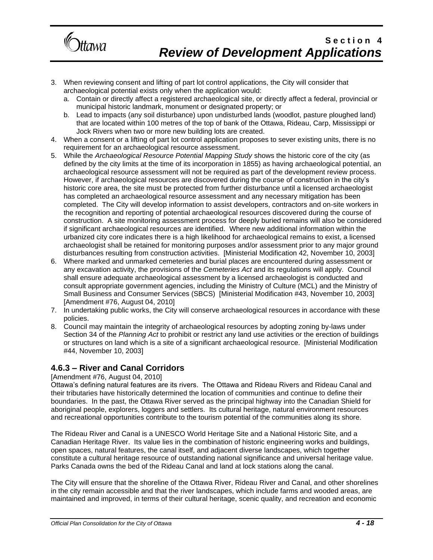

- 3. When reviewing consent and lifting of part lot control applications, the City will consider that archaeological potential exists only when the application would:
	- a. Contain or directly affect a registered archaeological site, or directly affect a federal, provincial or municipal historic landmark, monument or designated property; or
	- b. Lead to impacts (any soil disturbance) upon undisturbed lands (woodlot, pasture ploughed land) that are located within 100 metres of the top of bank of the Ottawa, Rideau, Carp, Mississippi or Jock Rivers when two or more new building lots are created.
- 4. When a consent or a lifting of part lot control application proposes to sever existing units, there is no requirement for an archaeological resource assessment.
- 5. While the *Archaeological Resource Potential Mapping Study* shows the historic core of the city (as defined by the city limits at the time of its incorporation in 1855) as having archaeological potential, an archaeological resource assessment will not be required as part of the development review process. However, if archaeological resources are discovered during the course of construction in the city's historic core area, the site must be protected from further disturbance until a licensed archaeologist has completed an archaeological resource assessment and any necessary mitigation has been completed. The City will develop information to assist developers, contractors and on-site workers in the recognition and reporting of potential archaeological resources discovered during the course of construction. A site monitoring assessment process for deeply buried remains will also be considered if significant archaeological resources are identified. Where new additional information within the urbanized city core indicates there is a high likelihood for archaeological remains to exist, a licensed archaeologist shall be retained for monitoring purposes and/or assessment prior to any major ground disturbances resulting from construction activities. [Ministerial Modification 42, November 10, 2003]
- 6. Where marked and unmarked cemeteries and burial places are encountered during assessment or any excavation activity, the provisions of the *Cemeteries Act* and its regulations will apply. Council shall ensure adequate archaeological assessment by a licensed archaeologist is conducted and consult appropriate government agencies, including the Ministry of Culture (MCL) and the Ministry of Small Business and Consumer Services (SBCS) [Ministerial Modification #43, November 10, 2003] [Amendment #76, August 04, 2010]
- 7. In undertaking public works, the City will conserve archaeological resources in accordance with these policies.
- 8. Council may maintain the integrity of archaeological resources by adopting zoning by-laws under Section 34 of the *Planning Act* to prohibit or restrict any land use activities or the erection of buildings or structures on land which is a site of a significant archaeological resource. [Ministerial Modification #44, November 10, 2003]

### **4.6.3 – River and Canal Corridors**

### [Amendment #76, August 04, 2010]

Ottawa's defining natural features are its rivers. The Ottawa and Rideau Rivers and Rideau Canal and their tributaries have historically determined the location of communities and continue to define their boundaries. In the past, the Ottawa River served as the principal highway into the Canadian Shield for aboriginal people, explorers, loggers and settlers. Its cultural heritage, natural environment resources and recreational opportunities contribute to the tourism potential of the communities along its shore.

The Rideau River and Canal is a UNESCO World Heritage Site and a National Historic Site, and a Canadian Heritage River. Its value lies in the combination of historic engineering works and buildings, open spaces, natural features, the canal itself, and adjacent diverse landscapes, which together constitute a cultural heritage resource of outstanding national significance and universal heritage value. Parks Canada owns the bed of the Rideau Canal and land at lock stations along the canal.

The City will ensure that the shoreline of the Ottawa River, Rideau River and Canal, and other shorelines in the city remain accessible and that the river landscapes, which include farms and wooded areas, are maintained and improved, in terms of their cultural heritage, scenic quality, and recreation and economic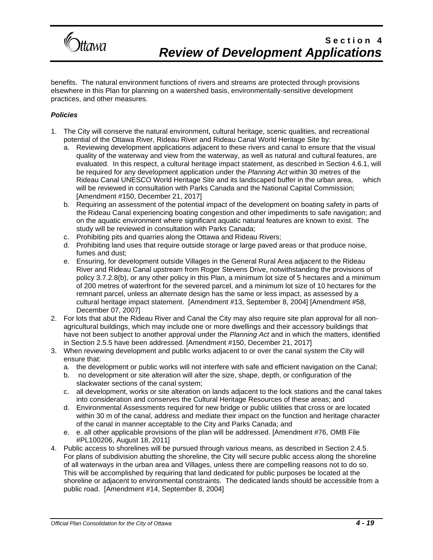

benefits. The natural environment functions of rivers and streams are protected through provisions elsewhere in this Plan for planning on a watershed basis, environmentally-sensitive development practices, and other measures.

- 1. The City will conserve the natural environment, cultural heritage, scenic qualities, and recreational potential of the Ottawa River, Rideau River and Rideau Canal World Heritage Site by:
	- a. Reviewing development applications adjacent to these rivers and canal to ensure that the visual quality of the waterway and view from the waterway, as well as natural and cultural features, are evaluated. In this respect, a cultural heritage impact statement, as described in Section 4.6.1, will be required for any development application under the *Planning Act* within 30 metres of the Rideau Canal UNESCO World Heritage Site and its landscaped buffer in the urban area, which will be reviewed in consultation with Parks Canada and the National Capital Commission; [Amendment #150, December 21, 2017]
	- b. Requiring an assessment of the potential impact of the development on boating safety in parts of the Rideau Canal experiencing boating congestion and other impediments to safe navigation; and on the aquatic environment where significant aquatic natural features are known to exist. The study will be reviewed in consultation with Parks Canada;
	- c. Prohibiting pits and quarries along the Ottawa and Rideau Rivers;
	- d. Prohibiting land uses that require outside storage or large paved areas or that produce noise, fumes and dust;
	- e. Ensuring, for development outside Villages in the General Rural Area adjacent to the Rideau River and Rideau Canal upstream from Roger Stevens Drive, notwithstanding the provisions of policy 3.7.2.8(b), or any other policy in this Plan, a minimum lot size of 5 hectares and a minimum of 200 metres of waterfront for the severed parcel, and a minimum lot size of 10 hectares for the remnant parcel, unless an alternate design has the same or less impact, as assessed by a cultural heritage impact statement. [Amendment #13, September 8, 2004] [Amendment #58, December 07, 2007]
- 2. For lots that abut the Rideau River and Canal the City may also require site plan approval for all nonagricultural buildings, which may include one or more dwellings and their accessory buildings that have not been subject to another approval under the *Planning Act* and in which the matters, identified in Section 2.5.5 have been addressed. [Amendment #150, December 21, 2017]
- 3. When reviewing development and public works adjacent to or over the canal system the City will ensure that:
	- a. the development or public works will not interfere with safe and efficient navigation on the Canal;
	- b. no development or site alteration will alter the size, shape, depth, or configuration of the slackwater sections of the canal system;
	- c. all development, works or site alteration on lands adjacent to the lock stations and the canal takes into consideration and conserves the Cultural Heritage Resources of these areas; and
	- d. Environmental Assessments required for new bridge or public utilities that cross or are located within 30 m of the canal, address and mediate their impact on the function and heritage character of the canal in manner acceptable to the City and Parks Canada; and
	- e. e. all other applicable provisions of the plan will be addressed. [Amendment #76, OMB File #PL100206, August 18, 2011]
- 4. Public access to shorelines will be pursued through various means, as described in Section 2.4.5. For plans of subdivision abutting the shoreline, the City will secure public access along the shoreline of all waterways in the urban area and Villages, unless there are compelling reasons not to do so. This will be accomplished by requiring that land dedicated for public purposes be located at the shoreline or adjacent to environmental constraints. The dedicated lands should be accessible from a public road. [Amendment #14, September 8, 2004]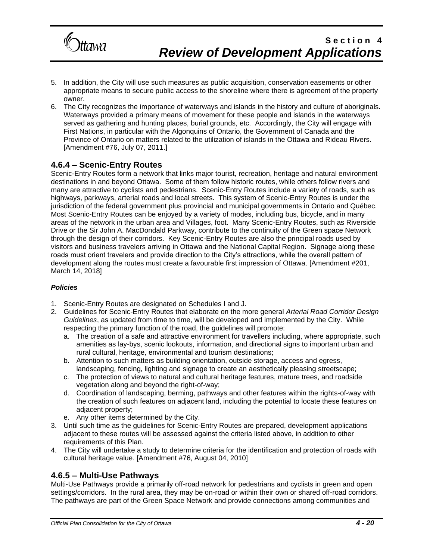

- 5. In addition, the City will use such measures as public acquisition, conservation easements or other appropriate means to secure public access to the shoreline where there is agreement of the property owner.
- 6. The City recognizes the importance of waterways and islands in the history and culture of aboriginals. Waterways provided a primary means of movement for these people and islands in the waterways served as gathering and hunting places, burial grounds, etc. Accordingly, the City will engage with First Nations, in particular with the Algonquins of Ontario, the Government of Canada and the Province of Ontario on matters related to the utilization of islands in the Ottawa and Rideau Rivers. [Amendment #76, July 07, 2011.]

### **4.6.4 – Scenic-Entry Routes**

Scenic-Entry Routes form a network that links major tourist, recreation, heritage and natural environment destinations in and beyond Ottawa. Some of them follow historic routes, while others follow rivers and many are attractive to cyclists and pedestrians. Scenic-Entry Routes include a variety of roads, such as highways, parkways, arterial roads and local streets. This system of Scenic-Entry Routes is under the jurisdiction of the federal government plus provincial and municipal governments in Ontario and Québec. Most Scenic-Entry Routes can be enjoyed by a variety of modes, including bus, bicycle, and in many areas of the network in the urban area and Villages, foot. Many Scenic-Entry Routes, such as Riverside Drive or the Sir John A. MacDondald Parkway, contribute to the continuity of the Green space Network through the design of their corridors. Key Scenic-Entry Routes are also the principal roads used by visitors and business travelers arriving in Ottawa and the National Capital Region. Signage along these roads must orient travelers and provide direction to the City's attractions, while the overall pattern of development along the routes must create a favourable first impression of Ottawa. [Amendment #201, March 14, 2018]

### *Policies*

- 1. Scenic-Entry Routes are designated on Schedules I and J.
- 2. Guidelines for Scenic-Entry Routes that elaborate on the more general *Arterial Road Corridor Design Guidelines*, as updated from time to time, will be developed and implemented by the City. While respecting the primary function of the road, the guidelines will promote:
	- a. The creation of a safe and attractive environment for travellers including, where appropriate, such amenities as lay-bys, scenic lookouts, information, and directional signs to important urban and rural cultural, heritage, environmental and tourism destinations;
	- b. Attention to such matters as building orientation, outside storage, access and egress, landscaping, fencing, lighting and signage to create an aesthetically pleasing streetscape;
	- c. The protection of views to natural and cultural heritage features, mature trees, and roadside vegetation along and beyond the right-of-way;
	- d. Coordination of landscaping, berming, pathways and other features within the rights-of-way with the creation of such features on adjacent land, including the potential to locate these features on adjacent property;
	- e. Any other items determined by the City.
- 3. Until such time as the guidelines for Scenic-Entry Routes are prepared, development applications adjacent to these routes will be assessed against the criteria listed above, in addition to other requirements of this Plan.
- 4. The City will undertake a study to determine criteria for the identification and protection of roads with cultural heritage value. [Amendment #76, August 04, 2010]

### **4.6.5 – Multi-Use Pathways**

Multi-Use Pathways provide a primarily off-road network for pedestrians and cyclists in green and open settings/corridors. In the rural area, they may be on-road or within their own or shared off-road corridors. The pathways are part of the Green Space Network and provide connections among communities and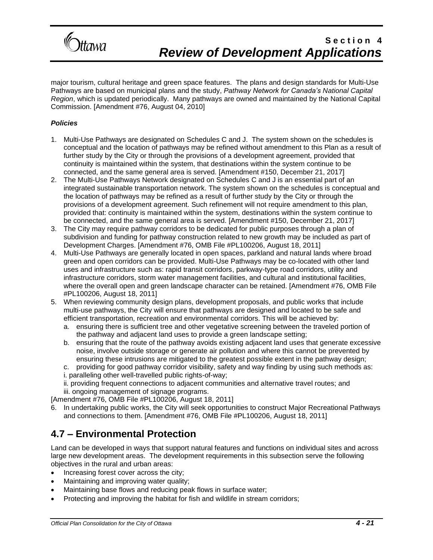

major tourism, cultural heritage and green space features. The plans and design standards for Multi-Use Pathways are based on municipal plans and the study, *Pathway Network for Canada's National Capital Region*, which is updated periodically. Many pathways are owned and maintained by the National Capital Commission. [Amendment #76, August 04, 2010]

### *Policies*

- 1. Multi-Use Pathways are designated on Schedules C and J. The system shown on the schedules is conceptual and the location of pathways may be refined without amendment to this Plan as a result of further study by the City or through the provisions of a development agreement, provided that continuity is maintained within the system, that destinations within the system continue to be connected, and the same general area is served. [Amendment #150, December 21, 2017]
- 2. The Multi-Use Pathways Network designated on Schedules C and J is an essential part of an integrated sustainable transportation network. The system shown on the schedules is conceptual and the location of pathways may be refined as a result of further study by the City or through the provisions of a development agreement. Such refinement will not require amendment to this plan, provided that: continuity is maintained within the system, destinations within the system continue to be connected, and the same general area is served. [Amendment #150, December 21, 2017]
- 3. The City may require pathway corridors to be dedicated for public purposes through a plan of subdivision and funding for pathway construction related to new growth may be included as part of Development Charges. [Amendment #76, OMB File #PL100206, August 18, 2011]
- 4. Multi-Use Pathways are generally located in open spaces, parkland and natural lands where broad green and open corridors can be provided. Multi-Use Pathways may be co-located with other land uses and infrastructure such as: rapid transit corridors, parkway-type road corridors, utility and infrastructure corridors, storm water management facilities, and cultural and institutional facilities, where the overall open and green landscape character can be retained. [Amendment #76, OMB File #PL100206, August 18, 2011]
- 5. When reviewing community design plans, development proposals, and public works that include multi-use pathways, the City will ensure that pathways are designed and located to be safe and efficient transportation, recreation and environmental corridors. This will be achieved by:
	- a. ensuring there is sufficient tree and other vegetative screening between the traveled portion of the pathway and adjacent land uses to provide a green landscape setting;
	- b. ensuring that the route of the pathway avoids existing adjacent land uses that generate excessive noise, involve outside storage or generate air pollution and where this cannot be prevented by ensuring these intrusions are mitigated to the greatest possible extent in the pathway design;
	- c. providing for good pathway corridor visibility, safety and way finding by using such methods as:
	- i. paralleling other well-travelled public rights-of-way;
	- ii. providing frequent connections to adjacent communities and alternative travel routes; and
	- iii. ongoing management of signage programs.

[Amendment #76, OMB File #PL100206, August 18, 2011]

6. In undertaking public works, the City will seek opportunities to construct Major Recreational Pathways and connections to them. [Amendment #76, OMB File #PL100206, August 18, 2011]

# **4.7 – Environmental Protection**

Land can be developed in ways that support natural features and functions on individual sites and across large new development areas. The development requirements in this subsection serve the following objectives in the rural and urban areas:

- Increasing forest cover across the city;
- Maintaining and improving water quality;
- Maintaining base flows and reducing peak flows in surface water;
- Protecting and improving the habitat for fish and wildlife in stream corridors;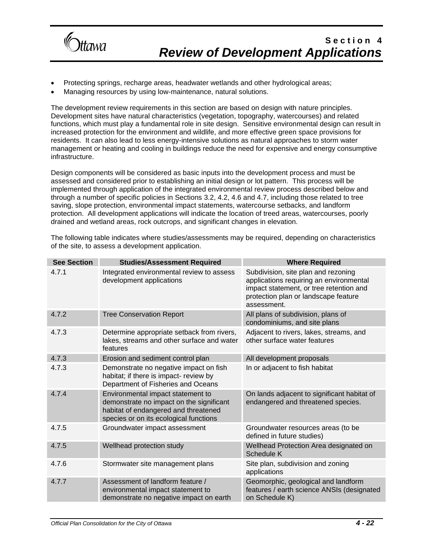

- Protecting springs, recharge areas, headwater wetlands and other hydrological areas;
- Managing resources by using low-maintenance, natural solutions.

The development review requirements in this section are based on design with nature principles. Development sites have natural characteristics (vegetation, topography, watercourses) and related functions, which must play a fundamental role in site design. Sensitive environmental design can result in increased protection for the environment and wildlife, and more effective green space provisions for residents. It can also lead to less energy-intensive solutions as natural approaches to storm water management or heating and cooling in buildings reduce the need for expensive and energy consumptive infrastructure.

Design components will be considered as basic inputs into the development process and must be assessed and considered prior to establishing an initial design or lot pattern. This process will be implemented through application of the integrated environmental review process described below and through a number of specific policies in Sections 3.2, 4.2, 4.6 and 4.7, including those related to tree saving, slope protection, environmental impact statements, watercourse setbacks, and landform protection. All development applications will indicate the location of treed areas, watercourses, poorly drained and wetland areas, rock outcrops, and significant changes in elevation.

| <b>See Section</b> | <b>Studies/Assessment Required</b>                                                                                                                              | <b>Where Required</b>                                                                                                                                                            |
|--------------------|-----------------------------------------------------------------------------------------------------------------------------------------------------------------|----------------------------------------------------------------------------------------------------------------------------------------------------------------------------------|
| 4.7.1              | Integrated environmental review to assess<br>development applications                                                                                           | Subdivision, site plan and rezoning<br>applications requiring an environmental<br>impact statement, or tree retention and<br>protection plan or landscape feature<br>assessment. |
| 4.7.2              | <b>Tree Conservation Report</b>                                                                                                                                 | All plans of subdivision, plans of<br>condominiums, and site plans                                                                                                               |
| 4.7.3              | Determine appropriate setback from rivers,<br>lakes, streams and other surface and water<br>features                                                            | Adjacent to rivers, lakes, streams, and<br>other surface water features                                                                                                          |
| 4.7.3              | Erosion and sediment control plan                                                                                                                               | All development proposals                                                                                                                                                        |
| 4.7.3              | Demonstrate no negative impact on fish<br>habitat; if there is impact- review by<br>Department of Fisheries and Oceans                                          | In or adjacent to fish habitat                                                                                                                                                   |
| 4.7.4              | Environmental impact statement to<br>demonstrate no impact on the significant<br>habitat of endangered and threatened<br>species or on its ecological functions | On lands adjacent to significant habitat of<br>endangered and threatened species.                                                                                                |
| 4.7.5              | Groundwater impact assessment                                                                                                                                   | Groundwater resources areas (to be<br>defined in future studies)                                                                                                                 |
| 4.7.5              | Wellhead protection study                                                                                                                                       | Wellhead Protection Area designated on<br>Schedule K                                                                                                                             |
| 4.7.6              | Stormwater site management plans                                                                                                                                | Site plan, subdivision and zoning<br>applications                                                                                                                                |
| 4.7.7              | Assessment of landform feature /<br>environmental impact statement to<br>demonstrate no negative impact on earth                                                | Geomorphic, geological and landform<br>features / earth science ANSIs (designated<br>on Schedule K)                                                                              |

The following table indicates where studies/assessments may be required, depending on characteristics of the site, to assess a development application.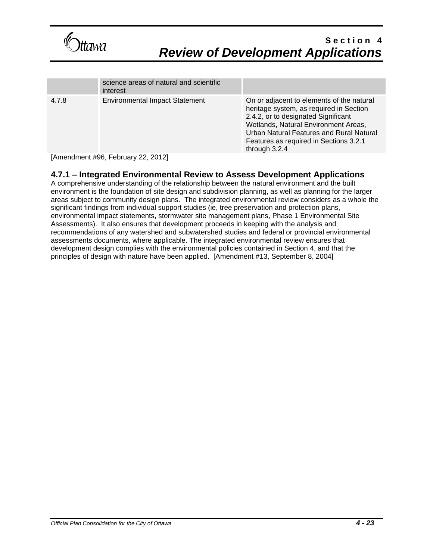

|       | science areas of natural and scientific<br>interest                                                                                                                                                                                                                                                         |                                                                                                                                                                                                                                                                            |
|-------|-------------------------------------------------------------------------------------------------------------------------------------------------------------------------------------------------------------------------------------------------------------------------------------------------------------|----------------------------------------------------------------------------------------------------------------------------------------------------------------------------------------------------------------------------------------------------------------------------|
| 4.7.8 | <b>Environmental Impact Statement</b>                                                                                                                                                                                                                                                                       | On or adjacent to elements of the natural<br>heritage system, as required in Section<br>2.4.2, or to designated Significant<br>Wetlands, Natural Environment Areas,<br>Urban Natural Features and Rural Natural<br>Features as required in Sections 3.2.1<br>through 3.2.4 |
|       | $\mathbf{r}$ , $\mathbf{r}$ , $\mathbf{r}$ , $\mathbf{r}$ , $\mathbf{r}$ , $\mathbf{r}$ , $\mathbf{r}$ , $\mathbf{r}$ , $\mathbf{r}$ , $\mathbf{r}$ , $\mathbf{r}$ , $\mathbf{r}$ , $\mathbf{r}$ , $\mathbf{r}$ , $\mathbf{r}$ , $\mathbf{r}$ , $\mathbf{r}$ , $\mathbf{r}$ , $\mathbf{r}$ , $\mathbf{r}$ , |                                                                                                                                                                                                                                                                            |

[Amendment #96, February 22, 2012]

### **4.7.1 – Integrated Environmental Review to Assess Development Applications**

A comprehensive understanding of the relationship between the natural environment and the built environment is the foundation of site design and subdivision planning, as well as planning for the larger areas subject to community design plans. The integrated environmental review considers as a whole the significant findings from individual support studies (ie, tree preservation and protection plans, environmental impact statements, stormwater site management plans, Phase 1 Environmental Site Assessments). It also ensures that development proceeds in keeping with the analysis and recommendations of any watershed and subwatershed studies and federal or provincial environmental assessments documents, where applicable. The integrated environmental review ensures that development design complies with the environmental policies contained in Section 4, and that the principles of design with nature have been applied. [Amendment #13, September 8, 2004]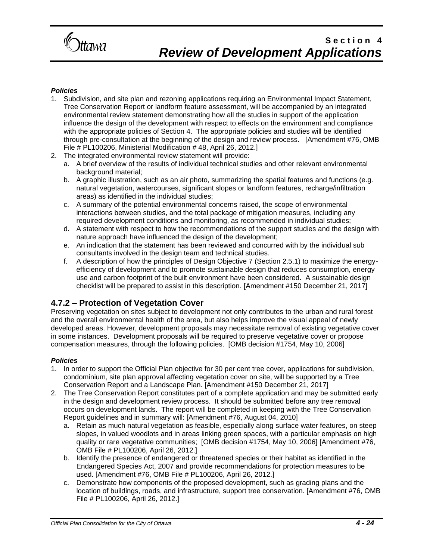

### *Policies*

- 1. Subdivision, and site plan and rezoning applications requiring an Environmental Impact Statement, Tree Conservation Report or landform feature assessment, will be accompanied by an integrated environmental review statement demonstrating how all the studies in support of the application influence the design of the development with respect to effects on the environment and compliance with the appropriate policies of Section 4. The appropriate policies and studies will be identified through pre-consultation at the beginning of the design and review process. [Amendment #76, OMB File # PL100206, Ministerial Modification # 48, April 26, 2012.]
- 2. The integrated environmental review statement will provide:
	- a. A brief overview of the results of individual technical studies and other relevant environmental background material;
	- b. A graphic illustration, such as an air photo, summarizing the spatial features and functions (e.g. natural vegetation, watercourses, significant slopes or landform features, recharge/infiltration areas) as identified in the individual studies;
	- c. A summary of the potential environmental concerns raised, the scope of environmental interactions between studies, and the total package of mitigation measures, including any required development conditions and monitoring, as recommended in individual studies;
	- d. A statement with respect to how the recommendations of the support studies and the design with nature approach have influenced the design of the development;
	- e. An indication that the statement has been reviewed and concurred with by the individual sub consultants involved in the design team and technical studies.
	- f. A description of how the principles of Design Objective 7 (Section 2.5.1) to maximize the energyefficiency of development and to promote sustainable design that reduces consumption, energy use and carbon footprint of the built environment have been considered. A sustainable design checklist will be prepared to assist in this description. [Amendment #150 December 21, 2017]

### **4.7.2 – Protection of Vegetation Cover**

Preserving vegetation on sites subject to development not only contributes to the urban and rural forest and the overall environmental health of the area, but also helps improve the visual appeal of newly developed areas. However, development proposals may necessitate removal of existing vegetative cover in some instances. Development proposals will be required to preserve vegetative cover or propose compensation measures, through the following policies. [OMB decision #1754, May 10, 2006]

- 1. In order to support the Official Plan objective for 30 per cent tree cover, applications for subdivision, condominium, site plan approval affecting vegetation cover on site, will be supported by a Tree Conservation Report and a Landscape Plan. [Amendment #150 December 21, 2017]
- 2. The Tree Conservation Report constitutes part of a complete application and may be submitted early in the design and development review process. It should be submitted before any tree removal occurs on development lands. The report will be completed in keeping with the Tree Conservation Report guidelines and in summary will: [Amendment #76, August 04, 2010]
	- a. Retain as much natural vegetation as feasible, especially along surface water features, on steep slopes, in valued woodlots and in areas linking green spaces, with a particular emphasis on high quality or rare vegetative communities; [OMB decision #1754, May 10, 2006] [Amendment #76, OMB File # PL100206, April 26, 2012.]
	- b. Identify the presence of endangered or threatened species or their habitat as identified in the Endangered Species Act, 2007 and provide recommendations for protection measures to be used. [Amendment #76, OMB File # PL100206, April 26, 2012.]
	- c. Demonstrate how components of the proposed development, such as grading plans and the location of buildings, roads, and infrastructure, support tree conservation. [Amendment #76, OMB File # PL100206, April 26, 2012.]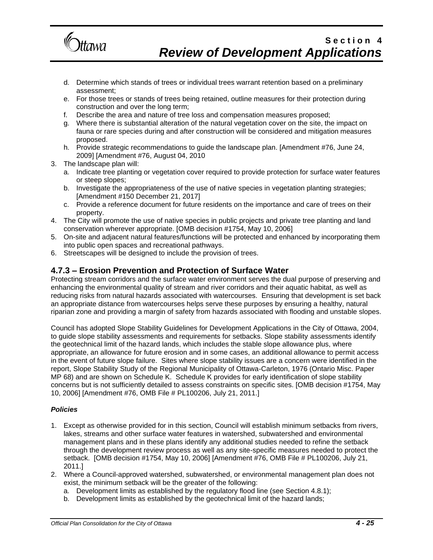

- d. Determine which stands of trees or individual trees warrant retention based on a preliminary assessment;
- e. For those trees or stands of trees being retained, outline measures for their protection during construction and over the long term;
- f. Describe the area and nature of tree loss and compensation measures proposed;
- g. Where there is substantial alteration of the natural vegetation cover on the site, the impact on fauna or rare species during and after construction will be considered and mitigation measures proposed.
- h. Provide strategic recommendations to guide the landscape plan. [Amendment #76, June 24, 2009] [Amendment #76, August 04, 2010
- 3. The landscape plan will:
	- a. Indicate tree planting or vegetation cover required to provide protection for surface water features or steep slopes;
	- b. Investigate the appropriateness of the use of native species in vegetation planting strategies; [Amendment #150 December 21, 2017]
	- c. Provide a reference document for future residents on the importance and care of trees on their property.
- 4. The City will promote the use of native species in public projects and private tree planting and land conservation wherever appropriate. [OMB decision #1754, May 10, 2006]
- 5. On-site and adjacent natural features/functions will be protected and enhanced by incorporating them into public open spaces and recreational pathways.
- 6. Streetscapes will be designed to include the provision of trees.

### **4.7.3 – Erosion Prevention and Protection of Surface Water**

Protecting stream corridors and the surface water environment serves the dual purpose of preserving and enhancing the environmental quality of stream and river corridors and their aquatic habitat, as well as reducing risks from natural hazards associated with watercourses. Ensuring that development is set back an appropriate distance from watercourses helps serve these purposes by ensuring a healthy, natural riparian zone and providing a margin of safety from hazards associated with flooding and unstable slopes.

Council has adopted Slope Stability Guidelines for Development Applications in the City of Ottawa, 2004, to guide slope stability assessments and requirements for setbacks. Slope stability assessments identify the geotechnical limit of the hazard lands, which includes the stable slope allowance plus, where appropriate, an allowance for future erosion and in some cases, an additional allowance to permit access in the event of future slope failure. Sites where slope stability issues are a concern were identified in the report, Slope Stability Study of the Regional Municipality of Ottawa-Carleton, 1976 (Ontario Misc. Paper MP 68) and are shown on Schedule K. Schedule K provides for early identification of slope stability concerns but is not sufficiently detailed to assess constraints on specific sites. [OMB decision #1754, May 10, 2006] [Amendment #76, OMB File # PL100206, July 21, 2011.]

- 1. Except as otherwise provided for in this section, Council will establish minimum setbacks from rivers, lakes, streams and other surface water features in watershed, subwatershed and environmental management plans and in these plans identify any additional studies needed to refine the setback through the development review process as well as any site-specific measures needed to protect the setback. [OMB decision #1754, May 10, 2006] [Amendment #76, OMB File # PL100206, July 21, 2011.]
- 2. Where a Council-approved watershed, subwatershed, or environmental management plan does not exist, the minimum setback will be the greater of the following:
	- a. Development limits as established by the regulatory flood line (see Section 4.8.1);
	- b. Development limits as established by the geotechnical limit of the hazard lands;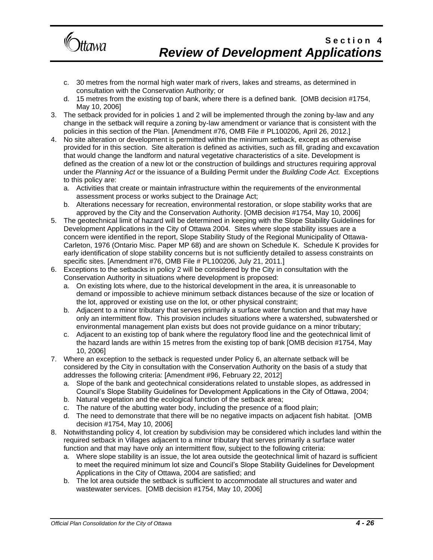

- c. 30 metres from the normal high water mark of rivers, lakes and streams, as determined in consultation with the Conservation Authority; or
- d. 15 metres from the existing top of bank, where there is a defined bank. [OMB decision #1754, May 10, 2006]
- 3. The setback provided for in policies 1 and 2 will be implemented through the zoning by-law and any change in the setback will require a zoning by-law amendment or variance that is consistent with the policies in this section of the Plan. [Amendment #76, OMB File # PL100206, April 26, 2012.]
- 4. No site alteration or development is permitted within the minimum setback, except as otherwise provided for in this section. Site alteration is defined as activities, such as fill, grading and excavation that would change the landform and natural vegetative characteristics of a site. Development is defined as the creation of a new lot or the construction of buildings and structures requiring approval under the *Planning Act* or the issuance of a Building Permit under the *Building Code Act.* Exceptions to this policy are:
	- a. Activities that create or maintain infrastructure within the requirements of the environmental assessment process or works subject to the Drainage Act;
	- b. Alterations necessary for recreation, environmental restoration, or slope stability works that are approved by the City and the Conservation Authority. [OMB decision #1754, May 10, 2006]
- 5. The geotechnical limit of hazard will be determined in keeping with the Slope Stability Guidelines for Development Applications in the City of Ottawa 2004. Sites where slope stability issues are a concern were identified in the report, Slope Stability Study of the Regional Municipality of Ottawa-Carleton, 1976 (Ontario Misc. Paper MP 68) and are shown on Schedule K. Schedule K provides for early identification of slope stability concerns but is not sufficiently detailed to assess constraints on specific sites. [Amendment #76, OMB File # PL100206, July 21, 2011.]
- 6. Exceptions to the setbacks in policy 2 will be considered by the City in consultation with the Conservation Authority in situations where development is proposed:
	- a. On existing lots where, due to the historical development in the area, it is unreasonable to demand or impossible to achieve minimum setback distances because of the size or location of the lot, approved or existing use on the lot, or other physical constraint;
	- b. Adjacent to a minor tributary that serves primarily a surface water function and that may have only an intermittent flow. This provision includes situations where a watershed, subwatershed or environmental management plan exists but does not provide guidance on a minor tributary;
	- c. Adjacent to an existing top of bank where the regulatory flood line and the geotechnical limit of the hazard lands are within 15 metres from the existing top of bank [OMB decision #1754, May 10, 2006]
- 7. Where an exception to the setback is requested under Policy 6, an alternate setback will be considered by the City in consultation with the Conservation Authority on the basis of a study that addresses the following criteria: [Amendment #96, February 22, 2012]
	- a. Slope of the bank and geotechnical considerations related to unstable slopes, as addressed in Council's Slope Stability Guidelines for Development Applications in the City of Ottawa, 2004;
	- b. Natural vegetation and the ecological function of the setback area;
	- c. The nature of the abutting water body, including the presence of a flood plain;
	- d. The need to demonstrate that there will be no negative impacts on adjacent fish habitat. [OMB decision #1754, May 10, 2006]
- 8. Notwithstanding policy 4, lot creation by subdivision may be considered which includes land within the required setback in Villages adjacent to a minor tributary that serves primarily a surface water function and that may have only an intermittent flow, subject to the following criteria:
	- a. Where slope stability is an issue, the lot area outside the geotechnical limit of hazard is sufficient to meet the required minimum lot size and Council's Slope Stability Guidelines for Development Applications in the City of Ottawa, 2004 are satisfied; and
	- b. The lot area outside the setback is sufficient to accommodate all structures and water and wastewater services. [OMB decision #1754, May 10, 2006]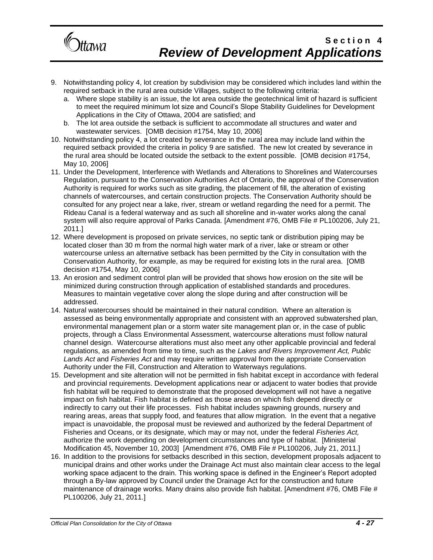

- 9. Notwithstanding policy 4, lot creation by subdivision may be considered which includes land within the required setback in the rural area outside Villages, subject to the following criteria:
	- a. Where slope stability is an issue, the lot area outside the geotechnical limit of hazard is sufficient to meet the required minimum lot size and Council's Slope Stability Guidelines for Development Applications in the City of Ottawa, 2004 are satisfied; and
	- b. The lot area outside the setback is sufficient to accommodate all structures and water and wastewater services. [OMB decision #1754, May 10, 2006]
- 10. Notwithstanding policy 4, a lot created by severance in the rural area may include land within the required setback provided the criteria in policy 9 are satisfied. The new lot created by severance in the rural area should be located outside the setback to the extent possible. [OMB decision #1754, May 10, 2006]
- 11. Under the Development, Interference with Wetlands and Alterations to Shorelines and Watercourses Regulation, pursuant to the Conservation Authorities Act of Ontario, the approval of the Conservation Authority is required for works such as site grading, the placement of fill, the alteration of existing channels of watercourses, and certain construction projects. The Conservation Authority should be consulted for any project near a lake, river, stream or wetland regarding the need for a permit. The Rideau Canal is a federal waterway and as such all shoreline and in-water works along the canal system will also require approval of Parks Canada. [Amendment #76, OMB File # PL100206, July 21, 2011.]
- 12. Where development is proposed on private services, no septic tank or distribution piping may be located closer than 30 m from the normal high water mark of a river, lake or stream or other watercourse unless an alternative setback has been permitted by the City in consultation with the Conservation Authority, for example, as may be required for existing lots in the rural area. [OMB decision #1754, May 10, 2006]
- 13. An erosion and sediment control plan will be provided that shows how erosion on the site will be minimized during construction through application of established standards and procedures. Measures to maintain vegetative cover along the slope during and after construction will be addressed.
- 14. Natural watercourses should be maintained in their natural condition. Where an alteration is assessed as being environmentally appropriate and consistent with an approved subwatershed plan, environmental management plan or a storm water site management plan or, in the case of public projects, through a Class Environmental Assessment, watercourse alterations must follow natural channel design. Watercourse alterations must also meet any other applicable provincial and federal regulations, as amended from time to time, such as the *Lakes and Rivers Improvement Act, Public Lands Act* and *Fisheries Act* and may require written approval from the appropriate Conservation Authority under the Fill, Construction and Alteration to Waterways regulations.
- 15. Development and site alteration will not be permitted in fish habitat except in accordance with federal and provincial requirements. Development applications near or adjacent to water bodies that provide fish habitat will be required to demonstrate that the proposed development will not have a negative impact on fish habitat. Fish habitat is defined as those areas on which fish depend directly or indirectly to carry out their life processes. Fish habitat includes spawning grounds, nursery and rearing areas, areas that supply food, and features that allow migration. In the event that a negative impact is unavoidable, the proposal must be reviewed and authorized by the federal Department of Fisheries and Oceans, or its designate, which may or may not, under the federal *Fisheries Act,* authorize the work depending on development circumstances and type of habitat. [Ministerial Modification 45, November 10, 2003] [Amendment #76, OMB File # PL100206, July 21, 2011.]
- 16. In addition to the provisions for setbacks described in this section, development proposals adjacent to municipal drains and other works under the Drainage Act must also maintain clear access to the legal working space adjacent to the drain. This working space is defined in the Engineer's Report adopted through a By-law approved by Council under the Drainage Act for the construction and future maintenance of drainage works. Many drains also provide fish habitat. [Amendment #76, OMB File # PL100206, July 21, 2011.]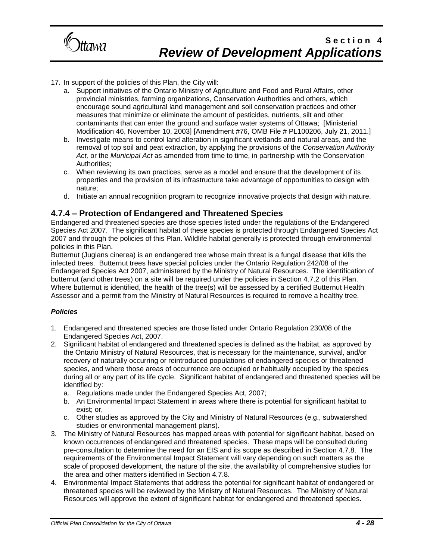

### 17. In support of the policies of this Plan, the City will:

- a. Support initiatives of the Ontario Ministry of Agriculture and Food and Rural Affairs, other provincial ministries, farming organizations, Conservation Authorities and others, which encourage sound agricultural land management and soil conservation practices and other measures that minimize or eliminate the amount of pesticides, nutrients, silt and other contaminants that can enter the ground and surface water systems of Ottawa; [Ministerial Modification 46, November 10, 2003] [Amendment #76, OMB File # PL100206, July 21, 2011.]
- b. Investigate means to control land alteration in significant wetlands and natural areas, and the removal of top soil and peat extraction, by applying the provisions of the *Conservation Authority Act,* or the *Municipal Act* as amended from time to time, in partnership with the Conservation Authorities;
- c. When reviewing its own practices, serve as a model and ensure that the development of its properties and the provision of its infrastructure take advantage of opportunities to design with nature;
- d. Initiate an annual recognition program to recognize innovative projects that design with nature.

### **4.7.4 – Protection of Endangered and Threatened Species**

Endangered and threatened species are those species listed under the regulations of the Endangered Species Act 2007. The significant habitat of these species is protected through Endangered Species Act 2007 and through the policies of this Plan. Wildlife habitat generally is protected through environmental policies in this Plan.

Butternut (Juglans cinerea) is an endangered tree whose main threat is a fungal disease that kills the infected trees. Butternut trees have special policies under the Ontario Regulation 242/08 of the Endangered Species Act 2007, administered by the Ministry of Natural Resources. The identification of butternut (and other trees) on a site will be required under the policies in Section 4.7.2 of this Plan. Where butternut is identified, the health of the tree(s) will be assessed by a certified Butternut Health Assessor and a permit from the Ministry of Natural Resources is required to remove a healthy tree.

- 1. Endangered and threatened species are those listed under Ontario Regulation 230/08 of the Endangered Species Act, 2007.
- 2. Significant habitat of endangered and threatened species is defined as the habitat, as approved by the Ontario Ministry of Natural Resources, that is necessary for the maintenance, survival, and/or recovery of naturally occurring or reintroduced populations of endangered species or threatened species, and where those areas of occurrence are occupied or habitually occupied by the species during all or any part of its life cycle. Significant habitat of endangered and threatened species will be identified by:
	- a. Regulations made under the Endangered Species Act, 2007;
	- b. An Environmental Impact Statement in areas where there is potential for significant habitat to exist; or,
	- c. Other studies as approved by the City and Ministry of Natural Resources (e.g., subwatershed studies or environmental management plans).
- 3. The Ministry of Natural Resources has mapped areas with potential for significant habitat, based on known occurrences of endangered and threatened species. These maps will be consulted during pre-consultation to determine the need for an EIS and its scope as described in Section 4.7.8. The requirements of the Environmental Impact Statement will vary depending on such matters as the scale of proposed development, the nature of the site, the availability of comprehensive studies for the area and other matters identified in Section 4.7.8.
- 4. Environmental Impact Statements that address the potential for significant habitat of endangered or threatened species will be reviewed by the Ministry of Natural Resources. The Ministry of Natural Resources will approve the extent of significant habitat for endangered and threatened species.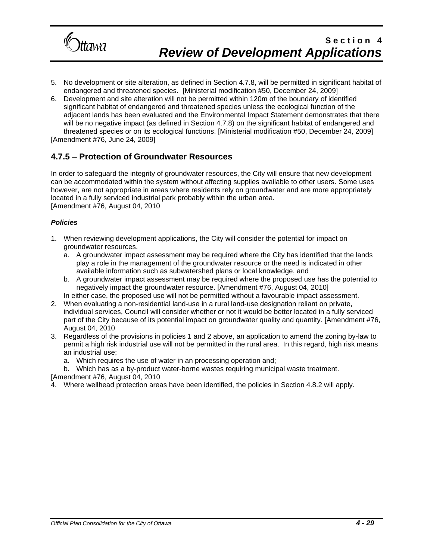

- 5. No development or site alteration, as defined in Section 4.7.8, will be permitted in significant habitat of endangered and threatened species. [Ministerial modification #50, December 24, 2009]
- 6. Development and site alteration will not be permitted within 120m of the boundary of identified significant habitat of endangered and threatened species unless the ecological function of the adjacent lands has been evaluated and the Environmental Impact Statement demonstrates that there will be no negative impact (as defined in Section 4.7.8) on the significant habitat of endangered and threatened species or on its ecological functions. [Ministerial modification #50, December 24, 2009] [Amendment #76, June 24, 2009]

### **4.7.5 – Protection of Groundwater Resources**

In order to safeguard the integrity of groundwater resources, the City will ensure that new development can be accommodated within the system without affecting supplies available to other users. Some uses however, are not appropriate in areas where residents rely on groundwater and are more appropriately located in a fully serviced industrial park probably within the urban area. [Amendment #76, August 04, 2010

#### *Policies*

- 1. When reviewing development applications, the City will consider the potential for impact on groundwater resources.
	- a. A groundwater impact assessment may be required where the City has identified that the lands play a role in the management of the groundwater resource or the need is indicated in other available information such as subwatershed plans or local knowledge, and
	- b. A groundwater impact assessment may be required where the proposed use has the potential to negatively impact the groundwater resource. [Amendment #76, August 04, 2010]
- In either case, the proposed use will not be permitted without a favourable impact assessment. 2. When evaluating a non-residential land-use in a rural land-use designation reliant on private,
- individual services, Council will consider whether or not it would be better located in a fully serviced part of the City because of its potential impact on groundwater quality and quantity. [Amendment #76, August 04, 2010
- 3. Regardless of the provisions in policies 1 and 2 above, an application to amend the zoning by-law to permit a high risk industrial use will not be permitted in the rural area. In this regard, high risk means an industrial use;
	- a. Which requires the use of water in an processing operation and;

b. Which has as a by-product water-borne wastes requiring municipal waste treatment. [Amendment #76, August 04, 2010

4. Where wellhead protection areas have been identified, the policies in Section 4.8.2 will apply.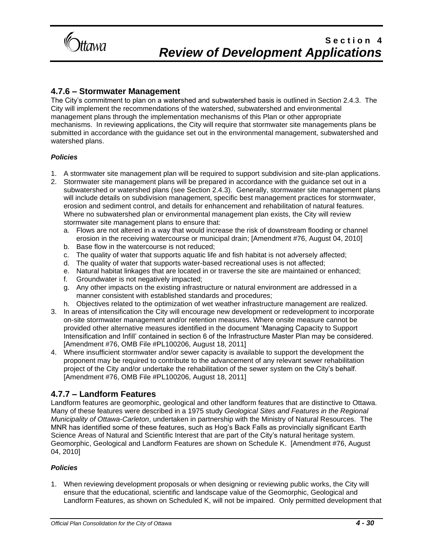

### **4.7.6 – Stormwater Management**

The City's commitment to plan on a watershed and subwatershed basis is outlined in Section 2.4.3. The City will implement the recommendations of the watershed, subwatershed and environmental management plans through the implementation mechanisms of this Plan or other appropriate mechanisms. In reviewing applications, the City will require that stormwater site managements plans be submitted in accordance with the guidance set out in the environmental management, subwatershed and watershed plans.

#### *Policies*

- 1. A stormwater site management plan will be required to support subdivision and site-plan applications.
- 2. Stormwater site management plans will be prepared in accordance with the guidance set out in a subwatershed or watershed plans (see Section 2.4.3). Generally, stormwater site management plans will include details on subdivision management, specific best management practices for stormwater, erosion and sediment control, and details for enhancement and rehabilitation of natural features. Where no subwatershed plan or environmental management plan exists, the City will review stormwater site management plans to ensure that:
	- a. Flows are not altered in a way that would increase the risk of downstream flooding or channel erosion in the receiving watercourse or municipal drain; [Amendment #76, August 04, 2010]
	- b. Base flow in the watercourse is not reduced;
	- c. The quality of water that supports aquatic life and fish habitat is not adversely affected;
	- d. The quality of water that supports water-based recreational uses is not affected;
	- e. Natural habitat linkages that are located in or traverse the site are maintained or enhanced;
	- f. Groundwater is not negatively impacted;
	- g. Any other impacts on the existing infrastructure or natural environment are addressed in a manner consistent with established standards and procedures;
	- h. Objectives related to the optimization of wet weather infrastructure management are realized.
- 3. In areas of intensification the City will encourage new development or redevelopment to incorporate on-site stormwater management and/or retention measures. Where onsite measure cannot be provided other alternative measures identified in the document 'Managing Capacity to Support Intensification and Infill' contained in section 6 of the Infrastructure Master Plan may be considered. [Amendment #76, OMB File #PL100206, August 18, 2011]
- 4. Where insufficient stormwater and/or sewer capacity is available to support the development the proponent may be required to contribute to the advancement of any relevant sewer rehabilitation project of the City and/or undertake the rehabilitation of the sewer system on the City's behalf. [Amendment #76, OMB File #PL100206, August 18, 2011]

### **4.7.7 – Landform Features**

Landform features are geomorphic, geological and other landform features that are distinctive to Ottawa. Many of these features were described in a 1975 study *Geological Sites and Features in the Regional Municipality of Ottawa-Carleton*, undertaken in partnership with the Ministry of Natural Resources. The MNR has identified some of these features, such as Hog's Back Falls as provincially significant Earth Science Areas of Natural and Scientific Interest that are part of the City's natural heritage system. Geomorphic, Geological and Landform Features are shown on Schedule K. [Amendment #76, August 04, 2010]

#### *Policies*

1. When reviewing development proposals or when designing or reviewing public works, the City will ensure that the educational, scientific and landscape value of the Geomorphic, Geological and Landform Features, as shown on Scheduled K, will not be impaired. Only permitted development that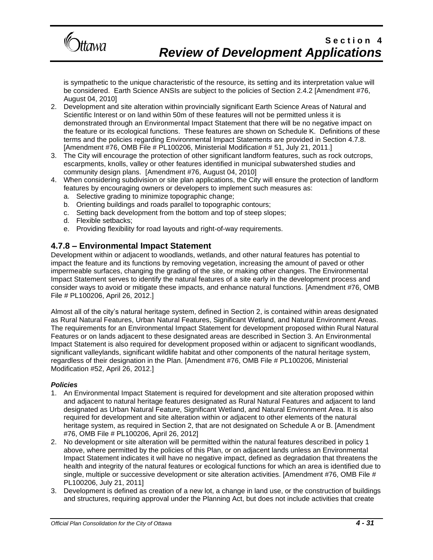

is sympathetic to the unique characteristic of the resource, its setting and its interpretation value will be considered. Earth Science ANSIs are subject to the policies of Section 2.4.2 [Amendment #76, August 04, 2010]

- 2. Development and site alteration within provincially significant Earth Science Areas of Natural and Scientific Interest or on land within 50m of these features will not be permitted unless it is demonstrated through an Environmental Impact Statement that there will be no negative impact on the feature or its ecological functions. These features are shown on Schedule K. Definitions of these terms and the policies regarding Environmental Impact Statements are provided in Section 4.7.8. [Amendment #76, OMB File # PL100206, Ministerial Modification # 51, July 21, 2011.]
- 3. The City will encourage the protection of other significant landform features, such as rock outcrops, escarpments, knolls, valley or other features identified in municipal subwatershed studies and community design plans. [Amendment #76, August 04, 2010]
- 4. When considering subdivision or site plan applications, the City will ensure the protection of landform features by encouraging owners or developers to implement such measures as:
	- a. Selective grading to minimize topographic change;
	- b. Orienting buildings and roads parallel to topographic contours;
	- c. Setting back development from the bottom and top of steep slopes;
	- d. Flexible setbacks;
	- e. Providing flexibility for road layouts and right-of-way requirements.

### **4.7.8 – Environmental Impact Statement**

Development within or adjacent to woodlands, wetlands, and other natural features has potential to impact the feature and its functions by removing vegetation, increasing the amount of paved or other impermeable surfaces, changing the grading of the site, or making other changes. The Environmental Impact Statement serves to identify the natural features of a site early in the development process and consider ways to avoid or mitigate these impacts, and enhance natural functions. [Amendment #76, OMB File # PL100206, April 26, 2012.]

Almost all of the city's natural heritage system, defined in Section 2, is contained within areas designated as Rural Natural Features, Urban Natural Features, Significant Wetland, and Natural Environment Areas. The requirements for an Environmental Impact Statement for development proposed within Rural Natural Features or on lands adjacent to these designated areas are described in Section 3. An Environmental Impact Statement is also required for development proposed within or adjacent to significant woodlands, significant valleylands, significant wildlife habitat and other components of the natural heritage system, regardless of their designation in the Plan. [Amendment #76, OMB File # PL100206, Ministerial Modification #52, April 26, 2012.]

- 1. An Environmental Impact Statement is required for development and site alteration proposed within and adjacent to natural heritage features designated as Rural Natural Features and adjacent to land designated as Urban Natural Feature, Significant Wetland, and Natural Environment Area. It is also required for development and site alteration within or adjacent to other elements of the natural heritage system, as required in Section 2, that are not designated on Schedule A or B. [Amendment #76, OMB File # PL100206, April 26, 2012]
- 2. No development or site alteration will be permitted within the natural features described in policy 1 above, where permitted by the policies of this Plan, or on adjacent lands unless an Environmental Impact Statement indicates it will have no negative impact, defined as degradation that threatens the health and integrity of the natural features or ecological functions for which an area is identified due to single, multiple or successive development or site alteration activities. [Amendment #76, OMB File # PL100206, July 21, 2011]
- 3. Development is defined as creation of a new lot, a change in land use, or the construction of buildings and structures, requiring approval under the Planning Act, but does not include activities that create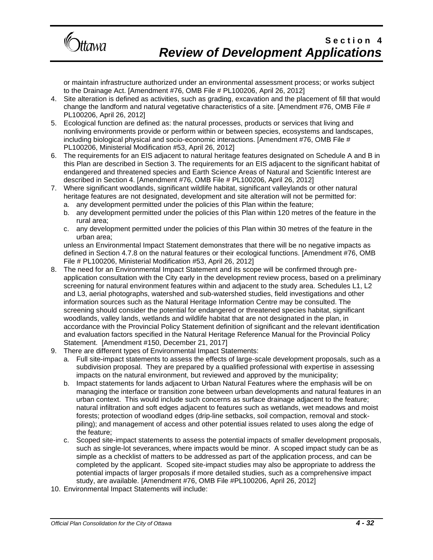

or maintain infrastructure authorized under an environmental assessment process; or works subject to the Drainage Act. [Amendment #76, OMB File # PL100206, April 26, 2012]

- 4. Site alteration is defined as activities, such as grading, excavation and the placement of fill that would change the landform and natural vegetative characteristics of a site. [Amendment #76, OMB File # PL100206, April 26, 2012]
- 5. Ecological function are defined as: the natural processes, products or services that living and nonliving environments provide or perform within or between species, ecosystems and landscapes, including biological physical and socio-economic interactions. [Amendment #76, OMB File # PL100206, Ministerial Modification #53, April 26, 2012]
- 6. The requirements for an EIS adjacent to natural heritage features designated on Schedule A and B in this Plan are described in Section 3. The requirements for an EIS adjacent to the significant habitat of endangered and threatened species and Earth Science Areas of Natural and Scientific Interest are described in Section 4. [Amendment #76, OMB File # PL100206, April 26, 2012]
- 7. Where significant woodlands, significant wildlife habitat, significant valleylands or other natural heritage features are not designated, development and site alteration will not be permitted for:
	- a. any development permitted under the policies of this Plan within the feature;
	- b. any development permitted under the policies of this Plan within 120 metres of the feature in the rural area;
	- c. any development permitted under the policies of this Plan within 30 metres of the feature in the urban area;

unless an Environmental Impact Statement demonstrates that there will be no negative impacts as defined in Section 4.7.8 on the natural features or their ecological functions. [Amendment #76, OMB File # PL100206, Ministerial Modification #53, April 26, 2012]

- 8. The need for an Environmental Impact Statement and its scope will be confirmed through preapplication consultation with the City early in the development review process, based on a preliminary screening for natural environment features within and adjacent to the study area. Schedules L1, L2 and L3, aerial photographs, watershed and sub-watershed studies, field investigations and other information sources such as the Natural Heritage Information Centre may be consulted. The screening should consider the potential for endangered or threatened species habitat, significant woodlands, valley lands, wetlands and wildlife habitat that are not designated in the plan, in accordance with the Provincial Policy Statement definition of significant and the relevant identification and evaluation factors specified in the Natural Heritage Reference Manual for the Provincial Policy Statement. [Amendment #150, December 21, 2017]
- 9. There are different types of Environmental Impact Statements:
	- a. Full site-impact statements to assess the effects of large-scale development proposals, such as a subdivision proposal. They are prepared by a qualified professional with expertise in assessing impacts on the natural environment, but reviewed and approved by the municipality;
	- b. Impact statements for lands adjacent to Urban Natural Features where the emphasis will be on managing the interface or transition zone between urban developments and natural features in an urban context. This would include such concerns as surface drainage adjacent to the feature; natural infiltration and soft edges adjacent to features such as wetlands, wet meadows and moist forests; protection of woodland edges (drip-line setbacks, soil compaction, removal and stockpiling); and management of access and other potential issues related to uses along the edge of the feature;
	- c. Scoped site-impact statements to assess the potential impacts of smaller development proposals, such as single-lot severances, where impacts would be minor. A scoped impact study can be as simple as a checklist of matters to be addressed as part of the application process, and can be completed by the applicant. Scoped site-impact studies may also be appropriate to address the potential impacts of larger proposals if more detailed studies, such as a comprehensive impact study, are available. [Amendment #76, OMB File #PL100206, April 26, 2012]
- 10. Environmental Impact Statements will include: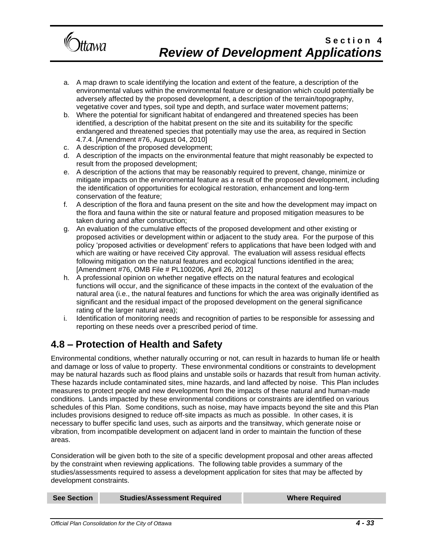

- a. A map drawn to scale identifying the location and extent of the feature, a description of the environmental values within the environmental feature or designation which could potentially be adversely affected by the proposed development, a description of the terrain/topography, vegetative cover and types, soil type and depth, and surface water movement patterns;
- b. Where the potential for significant habitat of endangered and threatened species has been identified, a description of the habitat present on the site and its suitability for the specific endangered and threatened species that potentially may use the area, as required in Section 4.7.4. [Amendment #76, August 04, 2010]
- c. A description of the proposed development;
- d. A description of the impacts on the environmental feature that might reasonably be expected to result from the proposed development;
- e. A description of the actions that may be reasonably required to prevent, change, minimize or mitigate impacts on the environmental feature as a result of the proposed development, including the identification of opportunities for ecological restoration, enhancement and long-term conservation of the feature;
- f. A description of the flora and fauna present on the site and how the development may impact on the flora and fauna within the site or natural feature and proposed mitigation measures to be taken during and after construction;
- g. An evaluation of the cumulative effects of the proposed development and other existing or proposed activities or development within or adjacent to the study area. For the purpose of this policy 'proposed activities or development' refers to applications that have been lodged with and which are waiting or have received City approval. The evaluation will assess residual effects following mitigation on the natural features and ecological functions identified in the area; [Amendment #76, OMB File # PL100206, April 26, 2012]
- h. A professional opinion on whether negative effects on the natural features and ecological functions will occur, and the significance of these impacts in the context of the evaluation of the natural area (i.e., the natural features and functions for which the area was originally identified as significant and the residual impact of the proposed development on the general significance rating of the larger natural area);
- i. Identification of monitoring needs and recognition of parties to be responsible for assessing and reporting on these needs over a prescribed period of time.

## **4.8 – Protection of Health and Safety**

Environmental conditions, whether naturally occurring or not, can result in hazards to human life or health and damage or loss of value to property. These environmental conditions or constraints to development may be natural hazards such as flood plains and unstable soils or hazards that result from human activity. These hazards include contaminated sites, mine hazards, and land affected by noise. This Plan includes measures to protect people and new development from the impacts of these natural and human-made conditions. Lands impacted by these environmental conditions or constraints are identified on various schedules of this Plan. Some conditions, such as noise, may have impacts beyond the site and this Plan includes provisions designed to reduce off-site impacts as much as possible. In other cases, it is necessary to buffer specific land uses, such as airports and the transitway, which generate noise or vibration, from incompatible development on adjacent land in order to maintain the function of these areas.

Consideration will be given both to the site of a specific development proposal and other areas affected by the constraint when reviewing applications. The following table provides a summary of the studies/assessments required to assess a development application for sites that may be affected by development constraints.

| <b>See Section</b> | <b>Studies/Assessment Required</b> | <b>Where Required</b> |
|--------------------|------------------------------------|-----------------------|
|                    |                                    |                       |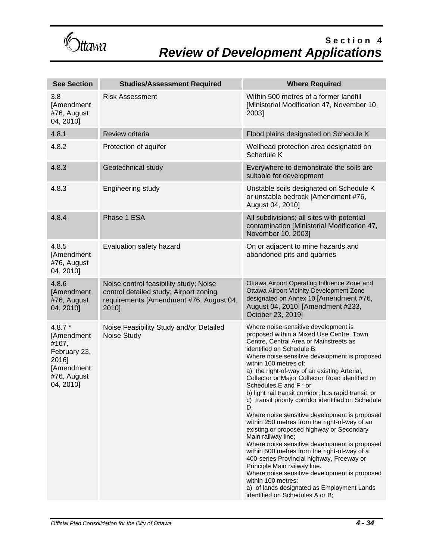Gttawa

| <b>See Section</b>                                                                                 | <b>Studies/Assessment Required</b>                                                                                                   | <b>Where Required</b>                                                                                                                                                                                                                                                                                                                                                                                                                                                                                                                                                                                                                                                                                                                                                                                                                                                                                                                                                                          |
|----------------------------------------------------------------------------------------------------|--------------------------------------------------------------------------------------------------------------------------------------|------------------------------------------------------------------------------------------------------------------------------------------------------------------------------------------------------------------------------------------------------------------------------------------------------------------------------------------------------------------------------------------------------------------------------------------------------------------------------------------------------------------------------------------------------------------------------------------------------------------------------------------------------------------------------------------------------------------------------------------------------------------------------------------------------------------------------------------------------------------------------------------------------------------------------------------------------------------------------------------------|
| 3.8<br>[Amendment<br>#76, August<br>04, 2010]                                                      | <b>Risk Assessment</b>                                                                                                               | Within 500 metres of a former landfill<br>[Ministerial Modification 47, November 10,<br>2003]                                                                                                                                                                                                                                                                                                                                                                                                                                                                                                                                                                                                                                                                                                                                                                                                                                                                                                  |
| 4.8.1                                                                                              | Review criteria                                                                                                                      | Flood plains designated on Schedule K                                                                                                                                                                                                                                                                                                                                                                                                                                                                                                                                                                                                                                                                                                                                                                                                                                                                                                                                                          |
| 4.8.2                                                                                              | Protection of aquifer                                                                                                                | Wellhead protection area designated on<br>Schedule K                                                                                                                                                                                                                                                                                                                                                                                                                                                                                                                                                                                                                                                                                                                                                                                                                                                                                                                                           |
| 4.8.3                                                                                              | Geotechnical study                                                                                                                   | Everywhere to demonstrate the soils are<br>suitable for development                                                                                                                                                                                                                                                                                                                                                                                                                                                                                                                                                                                                                                                                                                                                                                                                                                                                                                                            |
| 4.8.3                                                                                              | Engineering study                                                                                                                    | Unstable soils designated on Schedule K<br>or unstable bedrock [Amendment #76,<br>August 04, 2010]                                                                                                                                                                                                                                                                                                                                                                                                                                                                                                                                                                                                                                                                                                                                                                                                                                                                                             |
| 4.8.4                                                                                              | Phase 1 ESA                                                                                                                          | All subdivisions; all sites with potential<br>contamination [Ministerial Modification 47,<br>November 10, 2003]                                                                                                                                                                                                                                                                                                                                                                                                                                                                                                                                                                                                                                                                                                                                                                                                                                                                                |
| 4.8.5<br>[Amendment<br>#76, August<br>04, 2010]                                                    | Evaluation safety hazard                                                                                                             | On or adjacent to mine hazards and<br>abandoned pits and quarries                                                                                                                                                                                                                                                                                                                                                                                                                                                                                                                                                                                                                                                                                                                                                                                                                                                                                                                              |
| 4.8.6<br>[Amendment<br>#76, August<br>04, 2010]                                                    | Noise control feasibility study; Noise<br>control detailed study; Airport zoning<br>requirements [Amendment #76, August 04,<br>2010] | Ottawa Airport Operating Influence Zone and<br>Ottawa Airport Vicinity Development Zone<br>designated on Annex 10 [Amendment #76,<br>August 04, 2010] [Amendment #233,<br>October 23, 2019]                                                                                                                                                                                                                                                                                                                                                                                                                                                                                                                                                                                                                                                                                                                                                                                                    |
| $4.8.7*$<br>[Amendment<br>#167,<br>February 23,<br>2016]<br>[Amendment<br>#76, August<br>04, 2010] | Noise Feasibility Study and/or Detailed<br>Noise Study                                                                               | Where noise-sensitive development is<br>proposed within a Mixed Use Centre, Town<br>Centre, Central Area or Mainstreets as<br>identified on Schedule B.<br>Where noise sensitive development is proposed<br>within 100 metres of:<br>a) the right-of-way of an existing Arterial,<br>Collector or Major Collector Road identified on<br>Schedules E and F; or<br>b) light rail transit corridor; bus rapid transit, or<br>c) transit priority corridor identified on Schedule<br>D.<br>Where noise sensitive development is proposed<br>within 250 metres from the right-of-way of an<br>existing or proposed highway or Secondary<br>Main railway line;<br>Where noise sensitive development is proposed<br>within 500 metres from the right-of-way of a<br>400-series Provincial highway, Freeway or<br>Principle Main railway line.<br>Where noise sensitive development is proposed<br>within 100 metres:<br>a) of lands designated as Employment Lands<br>identified on Schedules A or B; |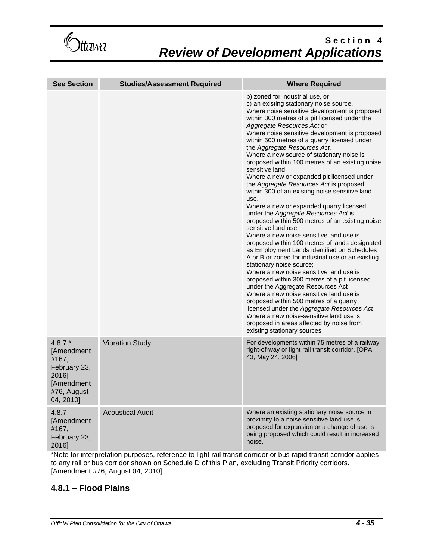Gttawa

| <b>See Section</b>                                                                                 | <b>Studies/Assessment Required</b> | <b>Where Required</b>                                                                                                                                                                                                                                                                                                                                                                                                                                                                                                                                                                                                                                                                                                                                                                                                                                                                                                                                                                                                                                                                                                                                                                                                                                                                                                                                                                                |
|----------------------------------------------------------------------------------------------------|------------------------------------|------------------------------------------------------------------------------------------------------------------------------------------------------------------------------------------------------------------------------------------------------------------------------------------------------------------------------------------------------------------------------------------------------------------------------------------------------------------------------------------------------------------------------------------------------------------------------------------------------------------------------------------------------------------------------------------------------------------------------------------------------------------------------------------------------------------------------------------------------------------------------------------------------------------------------------------------------------------------------------------------------------------------------------------------------------------------------------------------------------------------------------------------------------------------------------------------------------------------------------------------------------------------------------------------------------------------------------------------------------------------------------------------------|
|                                                                                                    |                                    | b) zoned for industrial use, or<br>c) an existing stationary noise source.<br>Where noise sensitive development is proposed<br>within 300 metres of a pit licensed under the<br>Aggregate Resources Act or<br>Where noise sensitive development is proposed<br>within 500 metres of a quarry licensed under<br>the Aggregate Resources Act.<br>Where a new source of stationary noise is<br>proposed within 100 metres of an existing noise<br>sensitive land.<br>Where a new or expanded pit licensed under<br>the Aggregate Resources Act is proposed<br>within 300 of an existing noise sensitive land<br>use.<br>Where a new or expanded quarry licensed<br>under the Aggregate Resources Act is<br>proposed within 500 metres of an existing noise<br>sensitive land use.<br>Where a new noise sensitive land use is<br>proposed within 100 metres of lands designated<br>as Employment Lands identified on Schedules<br>A or B or zoned for industrial use or an existing<br>stationary noise source;<br>Where a new noise sensitive land use is<br>proposed within 300 metres of a pit licensed<br>under the Aggregate Resources Act<br>Where a new noise sensitive land use is<br>proposed within 500 metres of a quarry<br>licensed under the Aggregate Resources Act<br>Where a new noise-sensitive land use is<br>proposed in areas affected by noise from<br>existing stationary sources |
| $4.8.7*$<br>[Amendment<br>#167,<br>February 23,<br>2016]<br>[Amendment<br>#76, August<br>04, 2010] | <b>Vibration Study</b>             | For developments within 75 metres of a railway<br>right-of-way or light rail transit corridor. [OPA<br>43, May 24, 2006]                                                                                                                                                                                                                                                                                                                                                                                                                                                                                                                                                                                                                                                                                                                                                                                                                                                                                                                                                                                                                                                                                                                                                                                                                                                                             |
| 4.8.7<br>[Amendment<br>#167,<br>February 23,<br>2016]                                              | <b>Acoustical Audit</b>            | Where an existing stationary noise source in<br>proximity to a noise sensitive land use is<br>proposed for expansion or a change of use is<br>being proposed which could result in increased<br>noise.                                                                                                                                                                                                                                                                                                                                                                                                                                                                                                                                                                                                                                                                                                                                                                                                                                                                                                                                                                                                                                                                                                                                                                                               |

\*Note for interpretation purposes, reference to light rail transit corridor or bus rapid transit corridor applies to any rail or bus corridor shown on Schedule D of this Plan, excluding Transit Priority corridors. [Amendment #76, August 04, 2010]

### **4.8.1 – Flood Plains**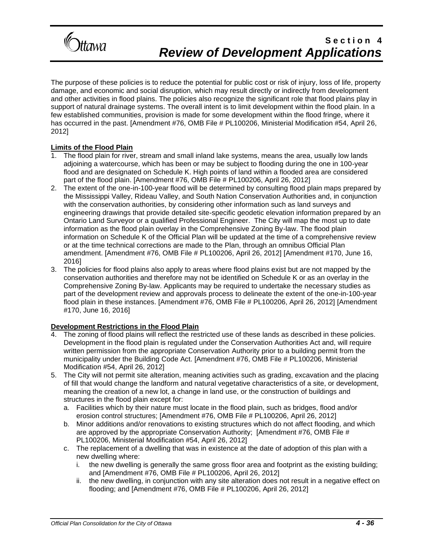

The purpose of these policies is to reduce the potential for public cost or risk of injury, loss of life, property damage, and economic and social disruption, which may result directly or indirectly from development and other activities in flood plains. The policies also recognize the significant role that flood plains play in support of natural drainage systems. The overall intent is to limit development within the flood plain. In a few established communities, provision is made for some development within the flood fringe, where it has occurred in the past. [Amendment #76, OMB File # PL100206, Ministerial Modification #54, April 26, 2012]

### **Limits of the Flood Plain**

- 1. The flood plain for river, stream and small inland lake systems, means the area, usually low lands adjoining a watercourse, which has been or may be subject to flooding during the one in 100-year flood and are designated on Schedule K. High points of land within a flooded area are considered part of the flood plain. [Amendment #76, OMB File # PL100206, April 26, 2012]
- 2. The extent of the one-in-100-year flood will be determined by consulting flood plain maps prepared by the Mississippi Valley, Rideau Valley, and South Nation Conservation Authorities and, in conjunction with the conservation authorities, by considering other information such as land surveys and engineering drawings that provide detailed site-specific geodetic elevation information prepared by an Ontario Land Surveyor or a qualified Professional Engineer. The City will map the most up to date information as the flood plain overlay in the Comprehensive Zoning By-law. The flood plain information on Schedule K of the Official Plan will be updated at the time of a comprehensive review or at the time technical corrections are made to the Plan, through an omnibus Official Plan amendment. [Amendment #76, OMB File # PL100206, April 26, 2012] [Amendment #170, June 16, 2016]
- 3. The policies for flood plains also apply to areas where flood plains exist but are not mapped by the conservation authorities and therefore may not be identified on Schedule K or as an overlay in the Comprehensive Zoning By-law. Applicants may be required to undertake the necessary studies as part of the development review and approvals process to delineate the extent of the one-in-100-year flood plain in these instances. [Amendment #76, OMB File # PL100206, April 26, 2012] [Amendment #170, June 16, 2016]

### **Development Restrictions in the Flood Plain**

- The zoning of flood plains will reflect the restricted use of these lands as described in these policies. Development in the flood plain is regulated under the Conservation Authorities Act and, will require written permission from the appropriate Conservation Authority prior to a building permit from the municipality under the Building Code Act. [Amendment #76, OMB File # PL100206, Ministerial Modification #54, April 26, 2012]
- 5. The City will not permit site alteration, meaning activities such as grading, excavation and the placing of fill that would change the landform and natural vegetative characteristics of a site, or development, meaning the creation of a new lot, a change in land use, or the construction of buildings and structures in the flood plain except for:
	- a. Facilities which by their nature must locate in the flood plain, such as bridges, flood and/or erosion control structures; [Amendment #76, OMB File # PL100206, April 26, 2012]
	- b. Minor additions and/or renovations to existing structures which do not affect flooding, and which are approved by the appropriate Conservation Authority; [Amendment #76, OMB File # PL100206, Ministerial Modification #54, April 26, 2012]
	- c. The replacement of a dwelling that was in existence at the date of adoption of this plan with a new dwelling where:
		- i. the new dwelling is generally the same gross floor area and footprint as the existing building; and [Amendment #76, OMB File # PL100206, April 26, 2012]
		- ii. the new dwelling, in conjunction with any site alteration does not result in a negative effect on flooding; and [Amendment #76, OMB File # PL100206, April 26, 2012]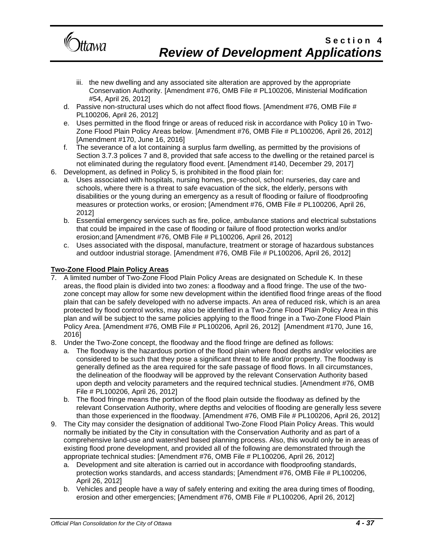

- iii. the new dwelling and any associated site alteration are approved by the appropriate Conservation Authority. [Amendment #76, OMB File # PL100206, Ministerial Modification #54, April 26, 2012]
- d. Passive non-structural uses which do not affect flood flows. [Amendment #76, OMB File # PL100206, April 26, 2012]
- e. Uses permitted in the flood fringe or areas of reduced risk in accordance with Policy 10 in Two-Zone Flood Plain Policy Areas below. [Amendment #76, OMB File # PL100206, April 26, 2012] [Amendment #170, June 16, 2016]
- f. The severance of a lot containing a surplus farm dwelling, as permitted by the provisions of Section 3.7.3 polices 7 and 8, provided that safe access to the dwelling or the retained parcel is not eliminated during the regulatory flood event. [Amendment #140, December 29, 2017]
- 6. Development, as defined in Policy 5, is prohibited in the flood plain for:
	- a. Uses associated with hospitals, nursing homes, pre-school, school nurseries, day care and schools, where there is a threat to safe evacuation of the sick, the elderly, persons with disabilities or the young during an emergency as a result of flooding or failure of floodproofing measures or protection works, or erosion; [Amendment #76, OMB File # PL100206, April 26, 2012]
	- b. Essential emergency services such as fire, police, ambulance stations and electrical substations that could be impaired in the case of flooding or failure of flood protection works and/or erosion;and [Amendment #76, OMB File # PL100206, April 26, 2012]
	- c. Uses associated with the disposal, manufacture, treatment or storage of hazardous substances and outdoor industrial storage. [Amendment #76, OMB File # PL100206, April 26, 2012]

#### **Two-Zone Flood Plain Policy Areas**

- 7. A limited number of Two-Zone Flood Plain Policy Areas are designated on Schedule K. In these areas, the flood plain is divided into two zones: a floodway and a flood fringe. The use of the twozone concept may allow for some new development within the identified flood fringe areas of the flood plain that can be safely developed with no adverse impacts. An area of reduced risk, which is an area protected by flood control works, may also be identified in a Two-Zone Flood Plain Policy Area in this plan and will be subject to the same policies applying to the flood fringe in a Two-Zone Flood Plain Policy Area. [Amendment #76, OMB File # PL100206, April 26, 2012] [Amendment #170, June 16, 2016]
- 8. Under the Two-Zone concept, the floodway and the flood fringe are defined as follows:
	- a. The floodway is the hazardous portion of the flood plain where flood depths and/or velocities are considered to be such that they pose a significant threat to life and/or property. The floodway is generally defined as the area required for the safe passage of flood flows. In all circumstances, the delineation of the floodway will be approved by the relevant Conservation Authority based upon depth and velocity parameters and the required technical studies. [Amendment #76, OMB File # PL100206, April 26, 2012]
	- b. The flood fringe means the portion of the flood plain outside the floodway as defined by the relevant Conservation Authority, where depths and velocities of flooding are generally less severe than those experienced in the floodway. [Amendment #76, OMB File # PL100206, April 26, 2012]
- 9. The City may consider the designation of additional Two-Zone Flood Plain Policy Areas. This would normally be initiated by the City in consultation with the Conservation Authority and as part of a comprehensive land-use and watershed based planning process. Also, this would only be in areas of existing flood prone development, and provided all of the following are demonstrated through the appropriate technical studies: [Amendment #76, OMB File # PL100206, April 26, 2012]
	- a. Development and site alteration is carried out in accordance with floodproofing standards, protection works standards, and access standards; [Amendment #76, OMB File # PL100206, April 26, 2012]
	- b. Vehicles and people have a way of safely entering and exiting the area during times of flooding, erosion and other emergencies; [Amendment #76, OMB File # PL100206, April 26, 2012]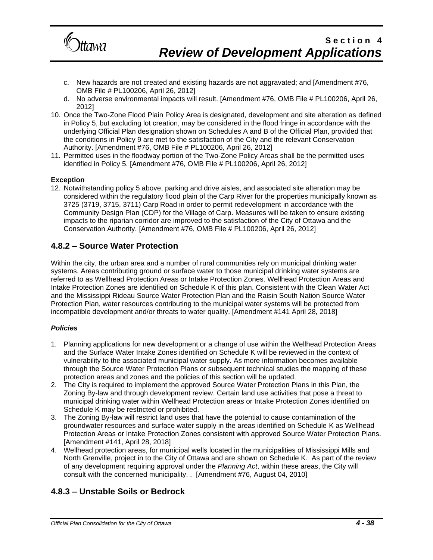

- c. New hazards are not created and existing hazards are not aggravated; and [Amendment #76, OMB File # PL100206, April 26, 2012]
- d. No adverse environmental impacts will result. [Amendment #76, OMB File # PL100206, April 26, 2012]
- 10. Once the Two-Zone Flood Plain Policy Area is designated, development and site alteration as defined in Policy 5, but excluding lot creation, may be considered in the flood fringe in accordance with the underlying Official Plan designation shown on Schedules A and B of the Official Plan, provided that the conditions in Policy 9 are met to the satisfaction of the City and the relevant Conservation Authority. [Amendment #76, OMB File # PL100206, April 26, 2012]
- 11. Permitted uses in the floodway portion of the Two-Zone Policy Areas shall be the permitted uses identified in Policy 5. [Amendment #76, OMB File # PL100206, April 26, 2012]

### **Exception**

12. Notwithstanding policy 5 above, parking and drive aisles, and associated site alteration may be considered within the regulatory flood plain of the Carp River for the properties municipally known as 3725 (3719, 3715, 3711) Carp Road in order to permit redevelopment in accordance with the Community Design Plan (CDP) for the Village of Carp. Measures will be taken to ensure existing impacts to the riparian corridor are improved to the satisfaction of the City of Ottawa and the Conservation Authority. [Amendment #76, OMB File # PL100206, April 26, 2012]

### **4.8.2 – Source Water Protection**

Within the city, the urban area and a number of rural communities rely on municipal drinking water systems. Areas contributing ground or surface water to those municipal drinking water systems are referred to as Wellhead Protection Areas or Intake Protection Zones. Wellhead Protection Areas and Intake Protection Zones are identified on Schedule K of this plan. Consistent with the Clean Water Act and the Mississippi Rideau Source Water Protection Plan and the Raisin South Nation Source Water Protection Plan, water resources contributing to the municipal water systems will be protected from incompatible development and/or threats to water quality. [Amendment #141 April 28, 2018]

### *Policies*

- 1. Planning applications for new development or a change of use within the Wellhead Protection Areas and the Surface Water Intake Zones identified on Schedule K will be reviewed in the context of vulnerability to the associated municipal water supply. As more information becomes available through the Source Water Protection Plans or subsequent technical studies the mapping of these protection areas and zones and the policies of this section will be updated.
- 2. The City is required to implement the approved Source Water Protection Plans in this Plan, the Zoning By-law and through development review. Certain land use activities that pose a threat to municipal drinking water within Wellhead Protection areas or Intake Protection Zones identified on Schedule K may be restricted or prohibited.
- 3. The Zoning By-law will restrict land uses that have the potential to cause contamination of the groundwater resources and surface water supply in the areas identified on Schedule K as Wellhead Protection Areas or Intake Protection Zones consistent with approved Source Water Protection Plans. [Amendment #141, April 28, 2018]
- 4. Wellhead protection areas, for municipal wells located in the municipalities of Mississippi Mills and North Grenville, project in to the City of Ottawa and are shown on Schedule K. As part of the review of any development requiring approval under the *Planning Act*, within these areas, the City will consult with the concerned municipality. . [Amendment #76, August 04, 2010]

### **4.8.3 – Unstable Soils or Bedrock**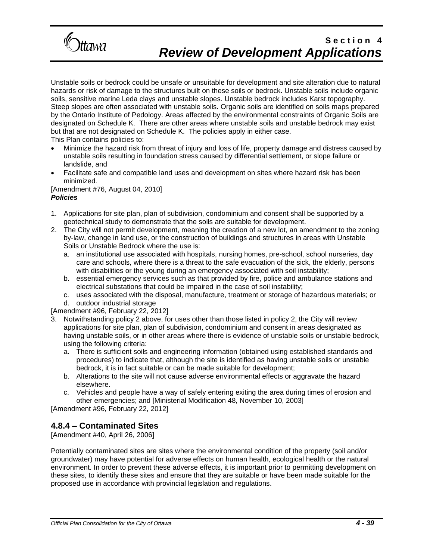

Unstable soils or bedrock could be unsafe or unsuitable for development and site alteration due to natural hazards or risk of damage to the structures built on these soils or bedrock. Unstable soils include organic soils, sensitive marine Leda clays and unstable slopes. Unstable bedrock includes Karst topography. Steep slopes are often associated with unstable soils. Organic soils are identified on soils maps prepared by the Ontario Institute of Pedology. Areas affected by the environmental constraints of Organic Soils are designated on Schedule K. There are other areas where unstable soils and unstable bedrock may exist but that are not designated on Schedule K. The policies apply in either case. This Plan contains policies to:

- Minimize the hazard risk from threat of injury and loss of life, property damage and distress caused by unstable soils resulting in foundation stress caused by differential settlement, or slope failure or landslide, and
- Facilitate safe and compatible land uses and development on sites where hazard risk has been minimized.

[Amendment #76, August 04, 2010] *Policies*

- 1. Applications for site plan, plan of subdivision, condominium and consent shall be supported by a geotechnical study to demonstrate that the soils are suitable for development.
- 2. The City will not permit development, meaning the creation of a new lot, an amendment to the zoning by-law, change in land use, or the construction of buildings and structures in areas with Unstable Soils or Unstable Bedrock where the use is:
	- a. an institutional use associated with hospitals, nursing homes, pre-school, school nurseries, day care and schools, where there is a threat to the safe evacuation of the sick, the elderly, persons with disabilities or the young during an emergency associated with soil instability;
	- b. essential emergency services such as that provided by fire, police and ambulance stations and electrical substations that could be impaired in the case of soil instability;
	- c. uses associated with the disposal, manufacture, treatment or storage of hazardous materials; or
	- d. outdoor industrial storage

[Amendment #96, February 22, 2012]

- 3. Notwithstanding policy 2 above, for uses other than those listed in policy 2, the City will review applications for site plan, plan of subdivision, condominium and consent in areas designated as having unstable soils, or in other areas where there is evidence of unstable soils or unstable bedrock, using the following criteria:
	- a. There is sufficient soils and engineering information (obtained using established standards and procedures) to indicate that, although the site is identified as having unstable soils or unstable bedrock, it is in fact suitable or can be made suitable for development;
	- b. Alterations to the site will not cause adverse environmental effects or aggravate the hazard elsewhere.
	- c. Vehicles and people have a way of safely entering exiting the area during times of erosion and other emergencies; and [Ministerial Modification 48, November 10, 2003]

[Amendment #96, February 22, 2012]

### **4.8.4 – Contaminated Sites**

[Amendment #40, April 26, 2006]

Potentially contaminated sites are sites where the environmental condition of the property (soil and/or groundwater) may have potential for adverse effects on human health, ecological health or the natural environment. In order to prevent these adverse effects, it is important prior to permitting development on these sites, to identify these sites and ensure that they are suitable or have been made suitable for the proposed use in accordance with provincial legislation and regulations.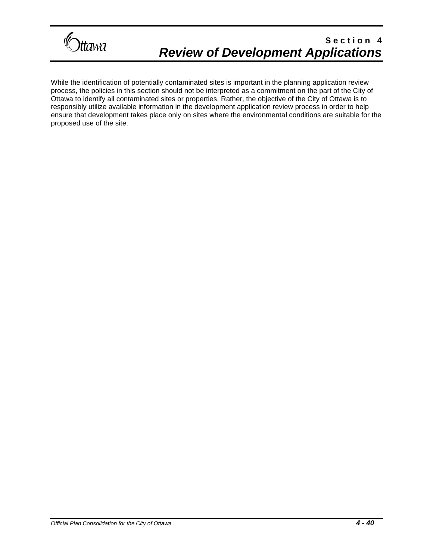

While the identification of potentially contaminated sites is important in the planning application review process, the policies in this section should not be interpreted as a commitment on the part of the City of Ottawa to identify all contaminated sites or properties. Rather, the objective of the City of Ottawa is to responsibly utilize available information in the development application review process in order to help ensure that development takes place only on sites where the environmental conditions are suitable for the proposed use of the site.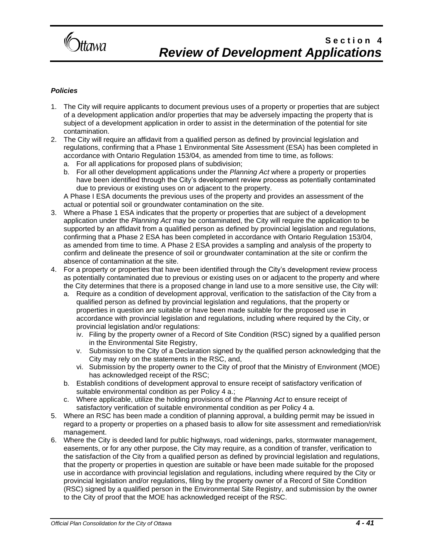

#### *Policies*

- 1. The City will require applicants to document previous uses of a property or properties that are subject of a development application and/or properties that may be adversely impacting the property that is subject of a development application in order to assist in the determination of the potential for site contamination.
- 2. The City will require an affidavit from a qualified person as defined by provincial legislation and regulations, confirming that a Phase 1 Environmental Site Assessment (ESA) has been completed in accordance with Ontario Regulation 153/04, as amended from time to time, as follows:
	- a. For all applications for proposed plans of subdivision;
	- b. For all other development applications under the *Planning Act* where a property or properties have been identified through the City's development review process as potentially contaminated due to previous or existing uses on or adjacent to the property.

A Phase I ESA documents the previous uses of the property and provides an assessment of the actual or potential soil or groundwater contamination on the site.

- 3. Where a Phase 1 ESA indicates that the property or properties that are subject of a development application under the *Planning Act* may be contaminated, the City will require the application to be supported by an affidavit from a qualified person as defined by provincial legislation and regulations, confirming that a Phase 2 ESA has been completed in accordance with Ontario Regulation 153/04, as amended from time to time. A Phase 2 ESA provides a sampling and analysis of the property to confirm and delineate the presence of soil or groundwater contamination at the site or confirm the absence of contamination at the site.
- 4. For a property or properties that have been identified through the City's development review process as potentially contaminated due to previous or existing uses on or adjacent to the property and where the City determines that there is a proposed change in land use to a more sensitive use, the City will:
	- a. Require as a condition of development approval, verification to the satisfaction of the City from a qualified person as defined by provincial legislation and regulations, that the property or properties in question are suitable or have been made suitable for the proposed use in accordance with provincial legislation and regulations, including where required by the City, or provincial legislation and/or regulations:
		- iv. Filing by the property owner of a Record of Site Condition (RSC) signed by a qualified person in the Environmental Site Registry,
		- v. Submission to the City of a Declaration signed by the qualified person acknowledging that the City may rely on the statements in the RSC, and,
		- vi. Submission by the property owner to the City of proof that the Ministry of Environment (MOE) has acknowledged receipt of the RSC:
	- b. Establish conditions of development approval to ensure receipt of satisfactory verification of suitable environmental condition as per Policy 4 a.;
	- c. Where applicable, utilize the holding provisions of the *Planning Act* to ensure receipt of satisfactory verification of suitable environmental condition as per Policy 4 a.
- 5. Where an RSC has been made a condition of planning approval, a building permit may be issued in regard to a property or properties on a phased basis to allow for site assessment and remediation/risk management.
- 6. Where the City is deeded land for public highways, road widenings, parks, stormwater management, easements, or for any other purpose, the City may require, as a condition of transfer, verification to the satisfaction of the City from a qualified person as defined by provincial legislation and regulations, that the property or properties in question are suitable or have been made suitable for the proposed use in accordance with provincial legislation and regulations, including where required by the City or provincial legislation and/or regulations, filing by the property owner of a Record of Site Condition (RSC) signed by a qualified person in the Environmental Site Registry, and submission by the owner to the City of proof that the MOE has acknowledged receipt of the RSC.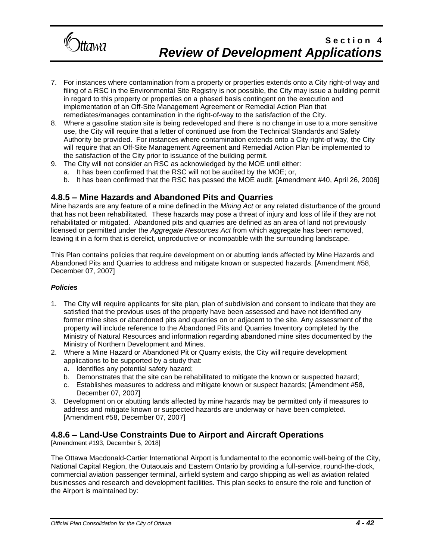

- 7. For instances where contamination from a property or properties extends onto a City right-of way and filing of a RSC in the Environmental Site Registry is not possible, the City may issue a building permit in regard to this property or properties on a phased basis contingent on the execution and implementation of an Off-Site Management Agreement or Remedial Action Plan that remediates/manages contamination in the right-of-way to the satisfaction of the City.
- 8. Where a gasoline station site is being redeveloped and there is no change in use to a more sensitive use, the City will require that a letter of continued use from the Technical Standards and Safety Authority be provided. For instances where contamination extends onto a City right-of way, the City will require that an Off-Site Management Agreement and Remedial Action Plan be implemented to the satisfaction of the City prior to issuance of the building permit.
- 9. The City will not consider an RSC as acknowledged by the MOE until either:
	- a. It has been confirmed that the RSC will not be audited by the MOE; or,
	- b. It has been confirmed that the RSC has passed the MOE audit. [Amendment #40, April 26, 2006]

### **4.8.5 – Mine Hazards and Abandoned Pits and Quarries**

Mine hazards are any feature of a mine defined in the *Mining Act* or any related disturbance of the ground that has not been rehabilitated. These hazards may pose a threat of injury and loss of life if they are not rehabilitated or mitigated. Abandoned pits and quarries are defined as an area of land not previously licensed or permitted under the *Aggregate Resources Act* from which aggregate has been removed, leaving it in a form that is derelict, unproductive or incompatible with the surrounding landscape.

This Plan contains policies that require development on or abutting lands affected by Mine Hazards and Abandoned Pits and Quarries to address and mitigate known or suspected hazards. [Amendment #58, December 07, 2007]

#### *Policies*

- 1. The City will require applicants for site plan, plan of subdivision and consent to indicate that they are satisfied that the previous uses of the property have been assessed and have not identified any former mine sites or abandoned pits and quarries on or adjacent to the site. Any assessment of the property will include reference to the Abandoned Pits and Quarries Inventory completed by the Ministry of Natural Resources and information regarding abandoned mine sites documented by the Ministry of Northern Development and Mines.
- 2. Where a Mine Hazard or Abandoned Pit or Quarry exists, the City will require development applications to be supported by a study that:
	- a. Identifies any potential safety hazard;
	- b. Demonstrates that the site can be rehabilitated to mitigate the known or suspected hazard;
	- c. Establishes measures to address and mitigate known or suspect hazards; [Amendment #58, December 07, 2007]
- 3. Development on or abutting lands affected by mine hazards may be permitted only if measures to address and mitigate known or suspected hazards are underway or have been completed. [Amendment #58, December 07, 2007]

### **4.8.6 – Land-Use Constraints Due to Airport and Aircraft Operations**

[Amendment #193, December 5, 2018]

The Ottawa Macdonald-Cartier International Airport is fundamental to the economic well-being of the City, National Capital Region, the Outaouais and Eastern Ontario by providing a full-service, round-the-clock, commercial aviation passenger terminal, airfield system and cargo shipping as well as aviation related businesses and research and development facilities. This plan seeks to ensure the role and function of the Airport is maintained by: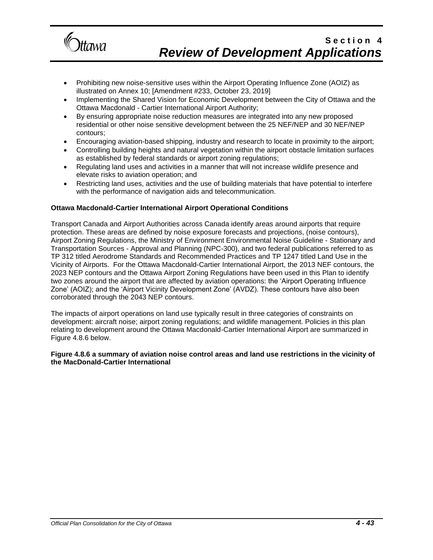

- Prohibiting new noise-sensitive uses within the Airport Operating Influence Zone (AOIZ) as illustrated on Annex 10; [Amendment #233, October 23, 2019]
- Implementing the Shared Vision for Economic Development between the City of Ottawa and the Ottawa Macdonald - Cartier International Airport Authority;
- By ensuring appropriate noise reduction measures are integrated into any new proposed residential or other noise sensitive development between the 25 NEF/NEP and 30 NEF/NEP contours;
- Encouraging aviation-based shipping, industry and research to locate in proximity to the airport;
- Controlling building heights and natural vegetation within the airport obstacle limitation surfaces as established by federal standards or airport zoning regulations;
- Regulating land uses and activities in a manner that will not increase wildlife presence and elevate risks to aviation operation; and
- Restricting land uses, activities and the use of building materials that have potential to interfere with the performance of navigation aids and telecommunication.

#### **Ottawa Macdonald-Cartier International Airport Operational Conditions**

Transport Canada and Airport Authorities across Canada identify areas around airports that require protection. These areas are defined by noise exposure forecasts and projections, (noise contours), Airport Zoning Regulations, the Ministry of Environment Environmental Noise Guideline - Stationary and Transportation Sources - Approval and Planning (NPC-300), and two federal publications referred to as TP 312 titled Aerodrome Standards and Recommended Practices and TP 1247 titled Land Use in the Vicinity of Airports. For the Ottawa Macdonald-Cartier International Airport, the 2013 NEF contours, the 2023 NEP contours and the Ottawa Airport Zoning Regulations have been used in this Plan to identify two zones around the airport that are affected by aviation operations: the 'Airport Operating Influence Zone' (AOIZ); and the 'Airport Vicinity Development Zone' (AVDZ). These contours have also been corroborated through the 2043 NEP contours.

The impacts of airport operations on land use typically result in three categories of constraints on development: aircraft noise; airport zoning regulations; and wildlife management. Policies in this plan relating to development around the Ottawa Macdonald-Cartier International Airport are summarized in Figure 4.8.6 below.

#### **Figure 4.8.6 a summary of aviation noise control areas and land use restrictions in the vicinity of the MacDonald-Cartier International**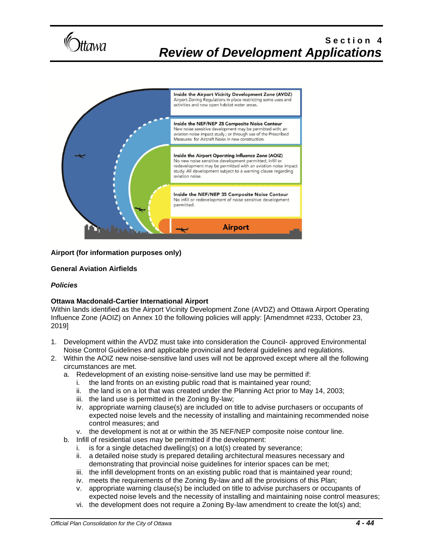



### **Airport (for information purposes only)**

#### **General Aviation Airfields**

#### *Policies*

### **Ottawa Macdonald-Cartier International Airport**

Within lands identified as the Airport Vicinity Development Zone (AVDZ) and Ottawa Airport Operating Influence Zone (AOIZ) on Annex 10 the following policies will apply: [Amendmnet #233, October 23, 2019]

- 1. Development within the AVDZ must take into consideration the Council- approved Environmental Noise Control Guidelines and applicable provincial and federal guidelines and regulations.
- 2. Within the AOIZ new noise-sensitive land uses will not be approved except where all the following circumstances are met.
	- a. Redevelopment of an existing noise-sensitive land use may be permitted if:
		- i. the land fronts on an existing public road that is maintained year round;
		- ii. the land is on a lot that was created under the Planning Act prior to May 14, 2003;
		- iii. the land use is permitted in the Zoning By-law;
		- iv. appropriate warning clause(s) are included on title to advise purchasers or occupants of expected noise levels and the necessity of installing and maintaining recommended noise control measures; and
		- v. the development is not at or within the 35 NEF/NEP composite noise contour line.
	- b. Infill of residential uses may be permitted if the development:
		- i. is for a single detached dwelling(s) on a lot(s) created by severance;
		- ii. a detailed noise study is prepared detailing architectural measures necessary and demonstrating that provincial noise guidelines for interior spaces can be met;
		- iii. the infill development fronts on an existing public road that is maintained year round;
		- iv. meets the requirements of the Zoning By-law and all the provisions of this Plan;
		- v. appropriate warning clause(s) be included on title to advise purchasers or occupants of expected noise levels and the necessity of installing and maintaining noise control measures;
		- vi. the development does not require a Zoning By-law amendment to create the lot(s) and;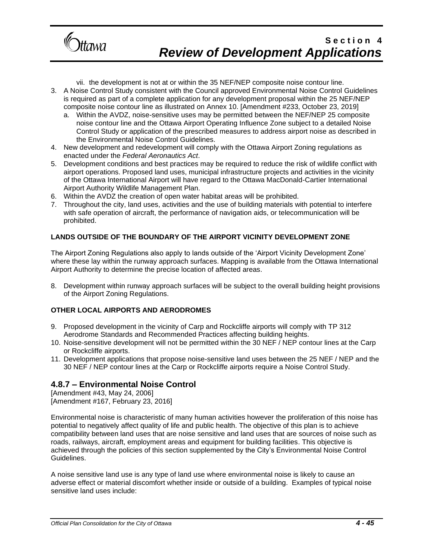

vii. the development is not at or within the 35 NEF/NEP composite noise contour line.

- 3. A Noise Control Study consistent with the Council approved Environmental Noise Control Guidelines is required as part of a complete application for any development proposal within the 25 NEF/NEP composite noise contour line as illustrated on Annex 10. [Amendment #233, October 23, 2019]
	- a. Within the AVDZ, noise-sensitive uses may be permitted between the NEF/NEP 25 composite noise contour line and the Ottawa Airport Operating Influence Zone subject to a detailed Noise Control Study or application of the prescribed measures to address airport noise as described in the Environmental Noise Control Guidelines.
- 4. New development and redevelopment will comply with the Ottawa Airport Zoning regulations as enacted under the *Federal Aeronautics Act*.
- 5. Development conditions and best practices may be required to reduce the risk of wildlife conflict with airport operations. Proposed land uses, municipal infrastructure projects and activities in the vicinity of the Ottawa International Airport will have regard to the Ottawa MacDonald-Cartier International Airport Authority Wildlife Management Plan.
- 6. Within the AVDZ the creation of open water habitat areas will be prohibited.
- 7. Throughout the city, land uses, activities and the use of building materials with potential to interfere with safe operation of aircraft, the performance of navigation aids, or telecommunication will be prohibited.

### **LANDS OUTSIDE OF THE BOUNDARY OF THE AIRPORT VICINITY DEVELOPMENT ZONE**

The Airport Zoning Regulations also apply to lands outside of the 'Airport Vicinity Development Zone' where these lay within the runway approach surfaces. Mapping is available from the Ottawa International Airport Authority to determine the precise location of affected areas.

8. Development within runway approach surfaces will be subject to the overall building height provisions of the Airport Zoning Regulations.

### **OTHER LOCAL AIRPORTS AND AERODROMES**

- 9. Proposed development in the vicinity of Carp and Rockcliffe airports will comply with TP 312 Aerodrome Standards and Recommended Practices affecting building heights.
- 10. Noise-sensitive development will not be permitted within the 30 NEF / NEP contour lines at the Carp or Rockcliffe airports.
- 11. Development applications that propose noise-sensitive land uses between the 25 NEF / NEP and the 30 NEF / NEP contour lines at the Carp or Rockcliffe airports require a Noise Control Study.

### **4.8.7 – Environmental Noise Control**

[Amendment #43, May 24, 2006] [Amendment #167, February 23, 2016]

Environmental noise is characteristic of many human activities however the proliferation of this noise has potential to negatively affect quality of life and public health. The objective of this plan is to achieve compatibility between land uses that are noise sensitive and land uses that are sources of noise such as roads, railways, aircraft, employment areas and equipment for building facilities. This objective is achieved through the policies of this section supplemented by the City's Environmental Noise Control Guidelines.

A noise sensitive land use is any type of land use where environmental noise is likely to cause an adverse effect or material discomfort whether inside or outside of a building. Examples of typical noise sensitive land uses include: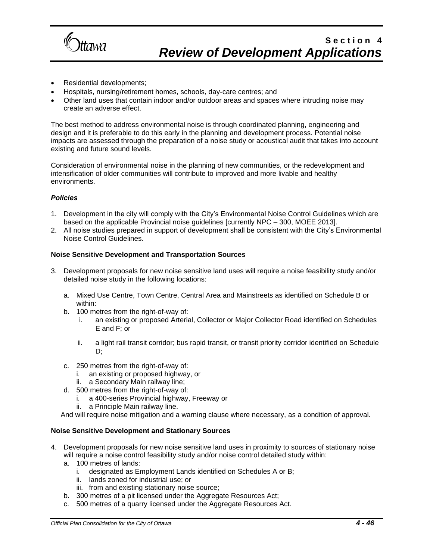

- Residential developments;
- Hospitals, nursing/retirement homes, schools, day-care centres; and
- Other land uses that contain indoor and/or outdoor areas and spaces where intruding noise may create an adverse effect.

The best method to address environmental noise is through coordinated planning, engineering and design and it is preferable to do this early in the planning and development process. Potential noise impacts are assessed through the preparation of a noise study or acoustical audit that takes into account existing and future sound levels.

Consideration of environmental noise in the planning of new communities, or the redevelopment and intensification of older communities will contribute to improved and more livable and healthy environments.

#### *Policies*

- 1. Development in the city will comply with the City's Environmental Noise Control Guidelines which are based on the applicable Provincial noise guidelines [currently NPC – 300, MOEE 2013].
- 2. All noise studies prepared in support of development shall be consistent with the City's Environmental Noise Control Guidelines.

#### **Noise Sensitive Development and Transportation Sources**

- 3. Development proposals for new noise sensitive land uses will require a noise feasibility study and/or detailed noise study in the following locations:
	- a. Mixed Use Centre, Town Centre, Central Area and Mainstreets as identified on Schedule B or within:
	- b. 100 metres from the right-of-way of:
		- i. an existing or proposed Arterial, Collector or Major Collector Road identified on Schedules E and F; or
		- ii. a light rail transit corridor; bus rapid transit, or transit priority corridor identified on Schedule D;
	- c. 250 metres from the right-of-way of:
		- i. an existing or proposed highway, or
		- ii. a Secondary Main railway line;
	- d. 500 metres from the right-of-way of:
		- i. a 400-series Provincial highway, Freeway or ii. a Principle Main railway line.
		- a Principle Main railway line.

And will require noise mitigation and a warning clause where necessary, as a condition of approval.

#### **Noise Sensitive Development and Stationary Sources**

- 4. Development proposals for new noise sensitive land uses in proximity to sources of stationary noise will require a noise control feasibility study and/or noise control detailed study within:
	- a. 100 metres of lands:
		- i. designated as Employment Lands identified on Schedules A or B;
		- ii. lands zoned for industrial use; or
		- iii. from and existing stationary noise source;
	- b. 300 metres of a pit licensed under the Aggregate Resources Act;
	- c. 500 metres of a quarry licensed under the Aggregate Resources Act.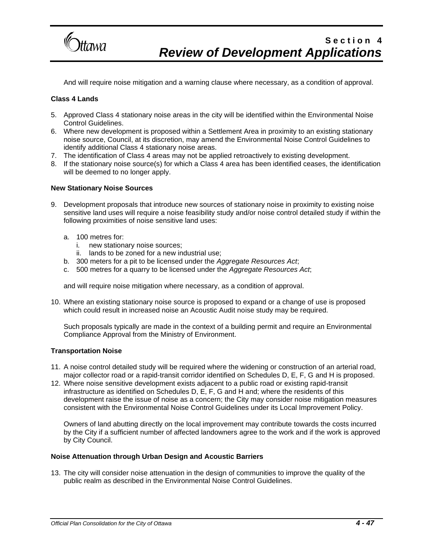

And will require noise mitigation and a warning clause where necessary, as a condition of approval.

#### **Class 4 Lands**

- 5. Approved Class 4 stationary noise areas in the city will be identified within the Environmental Noise Control Guidelines.
- 6. Where new development is proposed within a Settlement Area in proximity to an existing stationary noise source, Council, at its discretion, may amend the Environmental Noise Control Guidelines to identify additional Class 4 stationary noise areas.
- 7. The identification of Class 4 areas may not be applied retroactively to existing development.
- 8. If the stationary noise source(s) for which a Class 4 area has been identified ceases, the identification will be deemed to no longer apply.

#### **New Stationary Noise Sources**

- 9. Development proposals that introduce new sources of stationary noise in proximity to existing noise sensitive land uses will require a noise feasibility study and/or noise control detailed study if within the following proximities of noise sensitive land uses:
	- a. 100 metres for:
		- i. new stationary noise sources;
		- ii. lands to be zoned for a new industrial use;
	- b. 300 meters for a pit to be licensed under the *Aggregate Resources Act*;
	- c. 500 metres for a quarry to be licensed under the *Aggregate Resources Act*;

and will require noise mitigation where necessary, as a condition of approval.

10. Where an existing stationary noise source is proposed to expand or a change of use is proposed which could result in increased noise an Acoustic Audit noise study may be required.

Such proposals typically are made in the context of a building permit and require an Environmental Compliance Approval from the Ministry of Environment.

#### **Transportation Noise**

- 11. A noise control detailed study will be required where the widening or construction of an arterial road, major collector road or a rapid-transit corridor identified on Schedules D, E, F, G and H is proposed.
- 12. Where noise sensitive development exists adjacent to a public road or existing rapid-transit infrastructure as identified on Schedules D, E, F, G and H and; where the residents of this development raise the issue of noise as a concern; the City may consider noise mitigation measures consistent with the Environmental Noise Control Guidelines under its Local Improvement Policy.

Owners of land abutting directly on the local improvement may contribute towards the costs incurred by the City if a sufficient number of affected landowners agree to the work and if the work is approved by City Council.

#### **Noise Attenuation through Urban Design and Acoustic Barriers**

13. The city will consider noise attenuation in the design of communities to improve the quality of the public realm as described in the Environmental Noise Control Guidelines.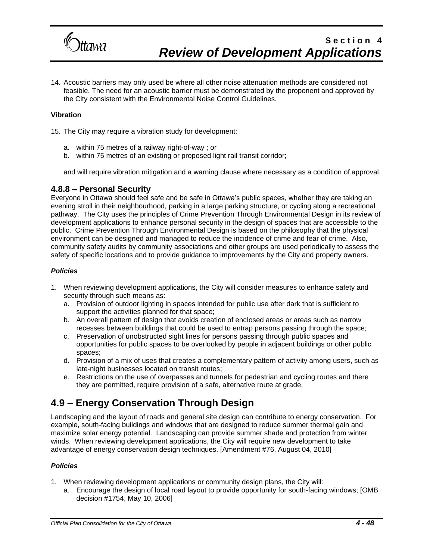

14. Acoustic barriers may only used be where all other noise attenuation methods are considered not feasible. The need for an acoustic barrier must be demonstrated by the proponent and approved by the City consistent with the Environmental Noise Control Guidelines.

#### **Vibration**

15. The City may require a vibration study for development:

- a. within 75 metres of a railway right-of-way ; or
- b. within 75 metres of an existing or proposed light rail transit corridor;

and will require vibration mitigation and a warning clause where necessary as a condition of approval.

### **4.8.8 – Personal Security**

Everyone in Ottawa should feel safe and be safe in Ottawa's public spaces, whether they are taking an evening stroll in their neighbourhood, parking in a large parking structure, or cycling along a recreational pathway. The City uses the principles of Crime Prevention Through Environmental Design in its review of development applications to enhance personal security in the design of spaces that are accessible to the public. Crime Prevention Through Environmental Design is based on the philosophy that the physical environment can be designed and managed to reduce the incidence of crime and fear of crime. Also, community safety audits by community associations and other groups are used periodically to assess the safety of specific locations and to provide guidance to improvements by the City and property owners.

#### *Policies*

- 1. When reviewing development applications, the City will consider measures to enhance safety and security through such means as:
	- a. Provision of outdoor lighting in spaces intended for public use after dark that is sufficient to support the activities planned for that space;
	- b. An overall pattern of design that avoids creation of enclosed areas or areas such as narrow recesses between buildings that could be used to entrap persons passing through the space;
	- c. Preservation of unobstructed sight lines for persons passing through public spaces and opportunities for public spaces to be overlooked by people in adjacent buildings or other public spaces;
	- d. Provision of a mix of uses that creates a complementary pattern of activity among users, such as late-night businesses located on transit routes;
	- e. Restrictions on the use of overpasses and tunnels for pedestrian and cycling routes and there they are permitted, require provision of a safe, alternative route at grade.

## **4.9 – Energy Conservation Through Design**

Landscaping and the layout of roads and general site design can contribute to energy conservation. For example, south-facing buildings and windows that are designed to reduce summer thermal gain and maximize solar energy potential. Landscaping can provide summer shade and protection from winter winds. When reviewing development applications, the City will require new development to take advantage of energy conservation design techniques. [Amendment #76, August 04, 2010]

- 1. When reviewing development applications or community design plans, the City will:
	- a. Encourage the design of local road layout to provide opportunity for south-facing windows; [OMB decision #1754, May 10, 2006]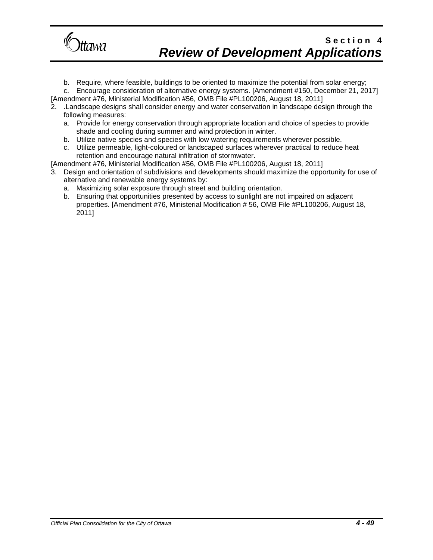

b. Require, where feasible, buildings to be oriented to maximize the potential from solar energy;

c. Encourage consideration of alternative energy systems. [Amendment #150, December 21, 2017] [Amendment #76, Ministerial Modification #56, OMB File #PL100206, August 18, 2011]

- 2. .Landscape designs shall consider energy and water conservation in landscape design through the following measures:
	- a. Provide for energy conservation through appropriate location and choice of species to provide shade and cooling during summer and wind protection in winter.
	- b. Utilize native species and species with low watering requirements wherever possible.
	- c. Utilize permeable, light-coloured or landscaped surfaces wherever practical to reduce heat retention and encourage natural infiltration of stormwater.
- [Amendment #76, Ministerial Modification #56, OMB File #PL100206, August 18, 2011]
- 3. Design and orientation of subdivisions and developments should maximize the opportunity for use of alternative and renewable energy systems by:
	- a. Maximizing solar exposure through street and building orientation.
	- b. Ensuring that opportunities presented by access to sunlight are not impaired on adjacent properties. [Amendment #76, Ministerial Modification # 56, OMB File #PL100206, August 18, 2011]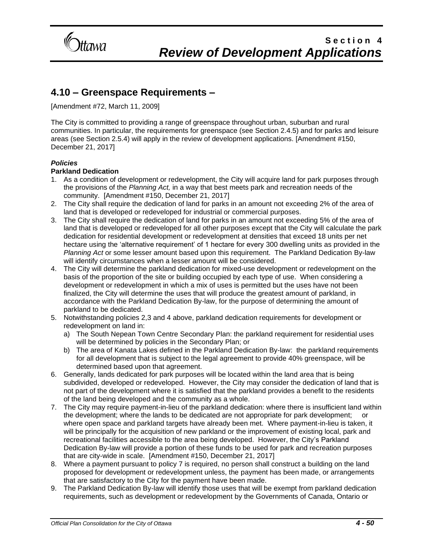

### **4.10 – Greenspace Requirements –**

[Amendment #72, March 11, 2009]

The City is committed to providing a range of greenspace throughout urban, suburban and rural communities. In particular, the requirements for greenspace (see Section 2.4.5) and for parks and leisure areas (see Section 2.5.4) will apply in the review of development applications. [Amendment #150, December 21, 2017]

### *Policies*

### **Parkland Dedication**

- 1. As a condition of development or redevelopment, the City will acquire land for park purposes through the provisions of the *Planning Act,* in a way that best meets park and recreation needs of the community. [Amendment #150, December 21, 2017]
- 2. The City shall require the dedication of land for parks in an amount not exceeding 2% of the area of land that is developed or redeveloped for industrial or commercial purposes.
- 3. The City shall require the dedication of land for parks in an amount not exceeding 5% of the area of land that is developed or redeveloped for all other purposes except that the City will calculate the park dedication for residential development or redevelopment at densities that exceed 18 units per net hectare using the 'alternative requirement' of 1 hectare for every 300 dwelling units as provided in the *Planning Act* or some lesser amount based upon this requirement. The Parkland Dedication By-law will identify circumstances when a lesser amount will be considered.
- 4. The City will determine the parkland dedication for mixed-use development or redevelopment on the basis of the proportion of the site or building occupied by each type of use. When considering a development or redevelopment in which a mix of uses is permitted but the uses have not been finalized, the City will determine the uses that will produce the greatest amount of parkland, in accordance with the Parkland Dedication By-law, for the purpose of determining the amount of parkland to be dedicated.
- 5. Notwithstanding policies 2,3 and 4 above, parkland dedication requirements for development or redevelopment on land in:
	- a) The South Nepean Town Centre Secondary Plan: the parkland requirement for residential uses will be determined by policies in the Secondary Plan; or
	- b) The area of Kanata Lakes defined in the Parkland Dedication By-law: the parkland requirements for all development that is subject to the legal agreement to provide 40% greenspace, will be determined based upon that agreement.
- 6. Generally, lands dedicated for park purposes will be located within the land area that is being subdivided, developed or redeveloped. However, the City may consider the dedication of land that is not part of the development where it is satisfied that the parkland provides a benefit to the residents of the land being developed and the community as a whole.
- 7. The City may require payment-in-lieu of the parkland dedication: where there is insufficient land within the development; where the lands to be dedicated are not appropriate for park development; or where open space and parkland targets have already been met. Where payment-in-lieu is taken, it will be principally for the acquisition of new parkland or the improvement of existing local, park and recreational facilities accessible to the area being developed. However, the City's Parkland Dedication By-law will provide a portion of these funds to be used for park and recreation purposes that are city-wide in scale. [Amendment #150, December 21, 2017]
- 8. Where a payment pursuant to policy 7 is required, no person shall construct a building on the land proposed for development or redevelopment unless, the payment has been made, or arrangements that are satisfactory to the City for the payment have been made.
- 9. The Parkland Dedication By-law will identify those uses that will be exempt from parkland dedication requirements, such as development or redevelopment by the Governments of Canada, Ontario or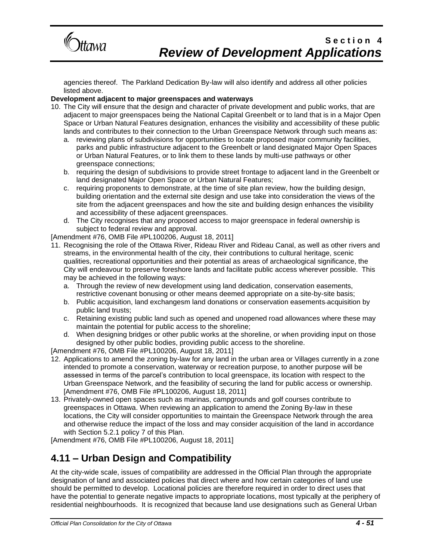

agencies thereof. The Parkland Dedication By-law will also identify and address all other policies listed above.

### **Development adjacent to major greenspaces and waterways**

- 10. The City will ensure that the design and character of private development and public works, that are adjacent to major greenspaces being the National Capital Greenbelt or to land that is in a Major Open Space or Urban Natural Features designation, enhances the visibility and accessibility of these public lands and contributes to their connection to the Urban Greenspace Network through such means as:
	- a. reviewing plans of subdivisions for opportunities to locate proposed major community facilities, parks and public infrastructure adjacent to the Greenbelt or land designated Major Open Spaces or Urban Natural Features, or to link them to these lands by multi-use pathways or other greenspace connections;
	- b. requiring the design of subdivisions to provide street frontage to adjacent land in the Greenbelt or land designated Major Open Space or Urban Natural Features;
	- c. requiring proponents to demonstrate, at the time of site plan review, how the building design, building orientation and the external site design and use take into consideration the views of the site from the adjacent greenspaces and how the site and building design enhances the visibility and accessibility of these adjacent greenspaces.
	- d. The City recognises that any proposed access to major greenspace in federal ownership is subject to federal review and approval.

[Amendment #76, OMB File #PL100206, August 18, 2011]

- 11. Recognising the role of the Ottawa River, Rideau River and Rideau Canal, as well as other rivers and streams, in the environmental health of the city, their contributions to cultural heritage, scenic qualities, recreational opportunities and their potential as areas of archaeological significance, the City will endeavour to preserve foreshore lands and facilitate public access wherever possible. This may be achieved in the following ways:
	- a. Through the review of new development using land dedication, conservation easements, restrictive covenant bonusing or other means deemed appropriate on a site-by-site basis;
	- b. Public acquisition, land exchangesm land donations or conservation easements acquisition by public land trusts;
	- c. Retaining existing public land such as opened and unopened road allowances where these may maintain the potential for public access to the shoreline;
	- d. When designing bridges or other public works at the shoreline, or when providing input on those designed by other public bodies, providing public access to the shoreline.

[Amendment #76, OMB File #PL100206, August 18, 2011]

- 12. Applications to amend the zoning by-law for any land in the urban area or Villages currently in a zone intended to promote a conservation, waterway or recreation purpose, to another purpose will be assessed in terms of the parcel's contribution to local greenspace, its location with respect to the Urban Greenspace Network, and the feasibility of securing the land for public access or ownership. [Amendment #76, OMB File #PL100206, August 18, 2011]
- 13. Privately-owned open spaces such as marinas, campgrounds and golf courses contribute to greenspaces in Ottawa. When reviewing an application to amend the Zoning By-law in these locations, the City will consider opportunities to maintain the Greenspace Network through the area and otherwise reduce the impact of the loss and may consider acquisition of the land in accordance with Section 5.2.1 policy 7 of this Plan.

[Amendment #76, OMB File #PL100206, August 18, 2011]

## **4.11 – Urban Design and Compatibility**

At the city-wide scale, issues of compatibility are addressed in the Official Plan through the appropriate designation of land and associated policies that direct where and how certain categories of land use should be permitted to develop. Locational policies are therefore required in order to direct uses that have the potential to generate negative impacts to appropriate locations, most typically at the periphery of residential neighbourhoods. It is recognized that because land use designations such as General Urban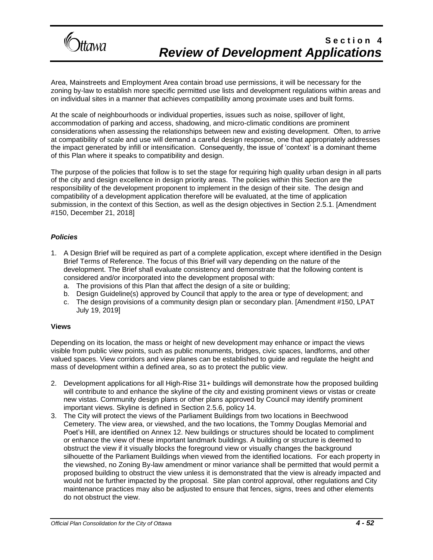

Area, Mainstreets and Employment Area contain broad use permissions, it will be necessary for the zoning by-law to establish more specific permitted use lists and development regulations within areas and on individual sites in a manner that achieves compatibility among proximate uses and built forms.

At the scale of neighbourhoods or individual properties, issues such as noise, spillover of light, accommodation of parking and access, shadowing, and micro-climatic conditions are prominent considerations when assessing the relationships between new and existing development. Often, to arrive at compatibility of scale and use will demand a careful design response, one that appropriately addresses the impact generated by infill or intensification. Consequently, the issue of 'context' is a dominant theme of this Plan where it speaks to compatibility and design.

The purpose of the policies that follow is to set the stage for requiring high quality urban design in all parts of the city and design excellence in design priority areas. The policies within this Section are the responsibility of the development proponent to implement in the design of their site. The design and compatibility of a development application therefore will be evaluated, at the time of application submission, in the context of this Section, as well as the design objectives in Section 2.5.1. [Amendment #150, December 21, 2018]

#### *Policies*

- 1. A Design Brief will be required as part of a complete application, except where identified in the Design Brief Terms of Reference. The focus of this Brief will vary depending on the nature of the development. The Brief shall evaluate consistency and demonstrate that the following content is considered and/or incorporated into the development proposal with:
	- a. The provisions of this Plan that affect the design of a site or building;
	- b. Design Guideline(s) approved by Council that apply to the area or type of development; and
	- c. The design provisions of a community design plan or secondary plan. [Amendment #150, LPAT July 19, 2019]

#### **Views**

Depending on its location, the mass or height of new development may enhance or impact the views visible from public view points, such as public monuments, bridges, civic spaces, landforms, and other valued spaces. View corridors and view planes can be established to guide and regulate the height and mass of development within a defined area, so as to protect the public view.

- 2. Development applications for all High-Rise 31+ buildings will demonstrate how the proposed building will contribute to and enhance the skyline of the city and existing prominent views or vistas or create new vistas. Community design plans or other plans approved by Council may identify prominent important views. Skyline is defined in Section 2.5.6, policy 14.
- 3. The City will protect the views of the Parliament Buildings from two locations in Beechwood Cemetery. The view area, or viewshed, and the two locations, the Tommy Douglas Memorial and Poet's Hill, are identified on Annex 12. New buildings or structures should be located to compliment or enhance the view of these important landmark buildings. A building or structure is deemed to obstruct the view if it visually blocks the foreground view or visually changes the background silhouette of the Parliament Buildings when viewed from the identified locations. For each property in the viewshed, no Zoning By-law amendment or minor variance shall be permitted that would permit a proposed building to obstruct the view unless it is demonstrated that the view is already impacted and would not be further impacted by the proposal. Site plan control approval, other regulations and City maintenance practices may also be adjusted to ensure that fences, signs, trees and other elements do not obstruct the view.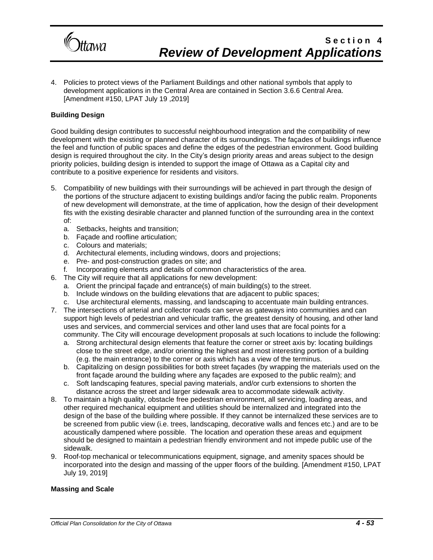

4. Policies to protect views of the Parliament Buildings and other national symbols that apply to development applications in the Central Area are contained in Section 3.6.6 Central Area. [Amendment #150, LPAT July 19 ,2019]

#### **Building Design**

Good building design contributes to successful neighbourhood integration and the compatibility of new development with the existing or planned character of its surroundings. The façades of buildings influence the feel and function of public spaces and define the edges of the pedestrian environment. Good building design is required throughout the city. In the City's design priority areas and areas subject to the design priority policies, building design is intended to support the image of Ottawa as a Capital city and contribute to a positive experience for residents and visitors.

- 5. Compatibility of new buildings with their surroundings will be achieved in part through the design of the portions of the structure adjacent to existing buildings and/or facing the public realm. Proponents of new development will demonstrate, at the time of application, how the design of their development fits with the existing desirable character and planned function of the surrounding area in the context of:
	- a. Setbacks, heights and transition;
	- b. Façade and roofline articulation;
	- c. Colours and materials;
	- d. Architectural elements, including windows, doors and projections;
	- e. Pre- and post-construction grades on site; and
	- f. Incorporating elements and details of common characteristics of the area.
- 6. The City will require that all applications for new development:
	- a. Orient the principal façade and entrance(s) of main building(s) to the street.
	- b. Include windows on the building elevations that are adjacent to public spaces;
	- c. Use architectural elements, massing, and landscaping to accentuate main building entrances.
- 7. The intersections of arterial and collector roads can serve as gateways into communities and can support high levels of pedestrian and vehicular traffic, the greatest density of housing, and other land uses and services, and commercial services and other land uses that are focal points for a community. The City will encourage development proposals at such locations to include the following:
	- a. Strong architectural design elements that feature the corner or street axis by: locating buildings close to the street edge, and/or orienting the highest and most interesting portion of a building (e.g. the main entrance) to the corner or axis which has a view of the terminus.
	- b. Capitalizing on design possibilities for both street façades (by wrapping the materials used on the front façade around the building where any façades are exposed to the public realm); and
	- c. Soft landscaping features, special paving materials, and/or curb extensions to shorten the distance across the street and larger sidewalk area to accommodate sidewalk activity.
- 8. To maintain a high quality, obstacle free pedestrian environment, all servicing, loading areas, and other required mechanical equipment and utilities should be internalized and integrated into the design of the base of the building where possible. If they cannot be internalized these services are to be screened from public view (i.e. trees, landscaping, decorative walls and fences etc.) and are to be acoustically dampened where possible. The location and operation these areas and equipment should be designed to maintain a pedestrian friendly environment and not impede public use of the sidewalk.
- 9. Roof-top mechanical or telecommunications equipment, signage, and amenity spaces should be incorporated into the design and massing of the upper floors of the building. [Amendment #150, LPAT July 19, 2019]

#### **Massing and Scale**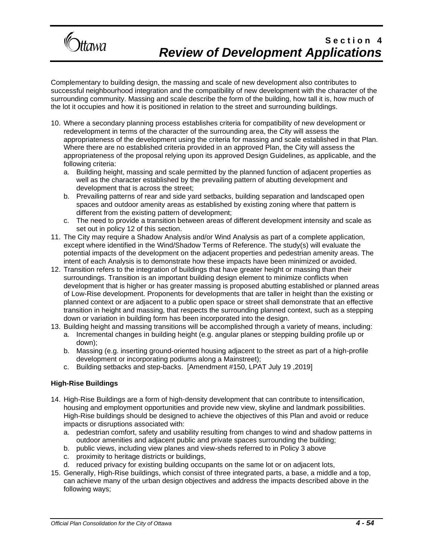

Complementary to building design, the massing and scale of new development also contributes to successful neighbourhood integration and the compatibility of new development with the character of the surrounding community. Massing and scale describe the form of the building, how tall it is, how much of the lot it occupies and how it is positioned in relation to the street and surrounding buildings.

- 10. Where a secondary planning process establishes criteria for compatibility of new development or redevelopment in terms of the character of the surrounding area, the City will assess the appropriateness of the development using the criteria for massing and scale established in that Plan. Where there are no established criteria provided in an approved Plan, the City will assess the appropriateness of the proposal relying upon its approved Design Guidelines, as applicable, and the following criteria:
	- a. Building height, massing and scale permitted by the planned function of adjacent properties as well as the character established by the prevailing pattern of abutting development and development that is across the street;
	- b. Prevailing patterns of rear and side yard setbacks, building separation and landscaped open spaces and outdoor amenity areas as established by existing zoning where that pattern is different from the existing pattern of development;
	- c. The need to provide a transition between areas of different development intensity and scale as set out in policy 12 of this section.
- 11. The City may require a Shadow Analysis and/or Wind Analysis as part of a complete application, except where identified in the Wind/Shadow Terms of Reference. The study(s) will evaluate the potential impacts of the development on the adjacent properties and pedestrian amenity areas. The intent of each Analysis is to demonstrate how these impacts have been minimized or avoided.
- 12. Transition refers to the integration of buildings that have greater height or massing than their surroundings. Transition is an important building design element to minimize conflicts when development that is higher or has greater massing is proposed abutting established or planned areas of Low-Rise development. Proponents for developments that are taller in height than the existing or planned context or are adjacent to a public open space or street shall demonstrate that an effective transition in height and massing, that respects the surrounding planned context, such as a stepping down or variation in building form has been incorporated into the design.
- 13. Building height and massing transitions will be accomplished through a variety of means, including: a. Incremental changes in building height (e.g. angular planes or stepping building profile up or down);
	- b. Massing (e.g. inserting ground-oriented housing adjacent to the street as part of a high-profile development or incorporating podiums along a Mainstreet);
	- c. Building setbacks and step-backs. [Amendment #150, LPAT July 19 ,2019]

### **High-Rise Buildings**

- 14. High-Rise Buildings are a form of high-density development that can contribute to intensification, housing and employment opportunities and provide new view, skyline and landmark possibilities. High-Rise buildings should be designed to achieve the objectives of this Plan and avoid or reduce impacts or disruptions associated with:
	- a. pedestrian comfort, safety and usability resulting from changes to wind and shadow patterns in outdoor amenities and adjacent public and private spaces surrounding the building;
	- b. public views, including view planes and view-sheds referred to in Policy 3 above
	- c. proximity to heritage districts or buildings,
	- d. reduced privacy for existing building occupants on the same lot or on adjacent lots,
- 15. Generally, High-Rise buildings, which consist of three integrated parts, a base, a middle and a top, can achieve many of the urban design objectives and address the impacts described above in the following ways;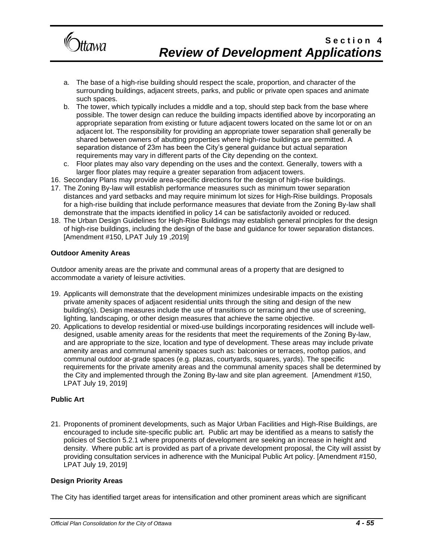

- a. The base of a high-rise building should respect the scale, proportion, and character of the surrounding buildings, adjacent streets, parks, and public or private open spaces and animate such spaces.
- b. The tower, which typically includes a middle and a top, should step back from the base where possible. The tower design can reduce the building impacts identified above by incorporating an appropriate separation from existing or future adjacent towers located on the same lot or on an adjacent lot. The responsibility for providing an appropriate tower separation shall generally be shared between owners of abutting properties where high-rise buildings are permitted. A separation distance of 23m has been the City's general guidance but actual separation requirements may vary in different parts of the City depending on the context.
- c. Floor plates may also vary depending on the uses and the context. Generally, towers with a larger floor plates may require a greater separation from adjacent towers.
- 16. Secondary Plans may provide area-specific directions for the design of high-rise buildings.
- 17. The Zoning By-law will establish performance measures such as minimum tower separation distances and yard setbacks and may require minimum lot sizes for High-Rise buildings. Proposals for a high-rise building that include performance measures that deviate from the Zoning By-law shall demonstrate that the impacts identified in policy 14 can be satisfactorily avoided or reduced.
- 18. The Urban Design Guidelines for High-Rise Buildings may establish general principles for the design of high-rise buildings, including the design of the base and guidance for tower separation distances. [Amendment #150, LPAT July 19 ,2019]

#### **Outdoor Amenity Areas**

Outdoor amenity areas are the private and communal areas of a property that are designed to accommodate a variety of leisure activities.

- 19. Applicants will demonstrate that the development minimizes undesirable impacts on the existing private amenity spaces of adjacent residential units through the siting and design of the new building(s). Design measures include the use of transitions or terracing and the use of screening, lighting, landscaping, or other design measures that achieve the same objective.
- 20. Applications to develop residential or mixed-use buildings incorporating residences will include welldesigned, usable amenity areas for the residents that meet the requirements of the Zoning By-law, and are appropriate to the size, location and type of development. These areas may include private amenity areas and communal amenity spaces such as: balconies or terraces, rooftop patios, and communal outdoor at-grade spaces (e.g. plazas, courtyards, squares, yards). The specific requirements for the private amenity areas and the communal amenity spaces shall be determined by the City and implemented through the Zoning By-law and site plan agreement. [Amendment #150, LPAT July 19, 2019]

#### **Public Art**

21. Proponents of prominent developments, such as Major Urban Facilities and High-Rise Buildings, are encouraged to include site-specific public art. Public art may be identified as a means to satisfy the policies of Section 5.2.1 where proponents of development are seeking an increase in height and density. Where public art is provided as part of a private development proposal, the City will assist by providing consultation services in adherence with the Municipal Public Art policy. [Amendment #150, LPAT July 19, 2019]

#### **Design Priority Areas**

The City has identified target areas for intensification and other prominent areas which are significant